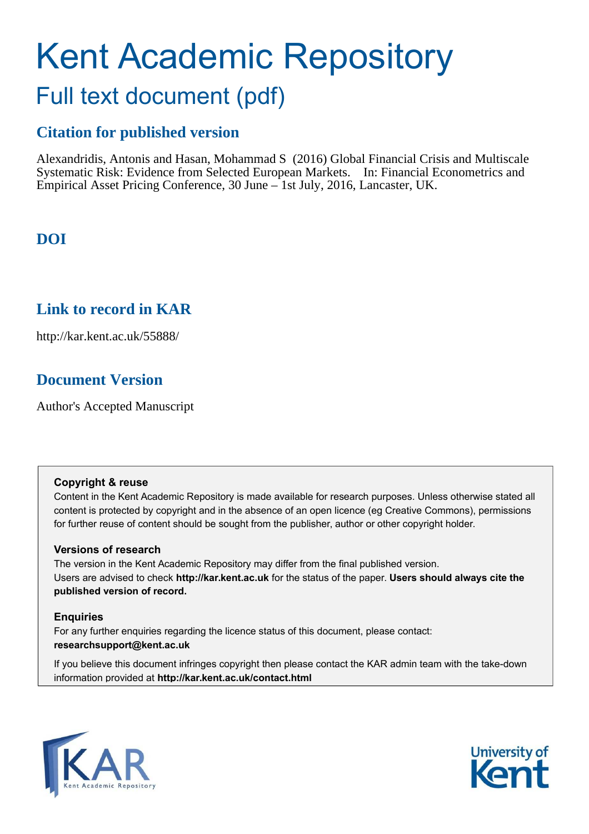# Kent Academic Repository Full text document (pdf)

## **Citation for published version**

Alexandridis, Antonis and Hasan, Mohammad S (2016) Global Financial Crisis and Multiscale Systematic Risk: Evidence from Selected European Markets. In: Financial Econometrics and Empirical Asset Pricing Conference, 30 June – 1st July, 2016, Lancaster, UK.

## **DOI**

### **Link to record in KAR**

http://kar.kent.ac.uk/55888/

## **Document Version**

Author's Accepted Manuscript

#### **Copyright & reuse**

Content in the Kent Academic Repository is made available for research purposes. Unless otherwise stated all content is protected by copyright and in the absence of an open licence (eg Creative Commons), permissions for further reuse of content should be sought from the publisher, author or other copyright holder.

#### **Versions of research**

The version in the Kent Academic Repository may differ from the final published version. Users are advised to check **http://kar.kent.ac.uk** for the status of the paper. **Users should always cite the published version of record.**

#### **Enquiries**

For any further enquiries regarding the licence status of this document, please contact: **researchsupport@kent.ac.uk**

If you believe this document infringes copyright then please contact the KAR admin team with the take-down information provided at **http://kar.kent.ac.uk/contact.html**



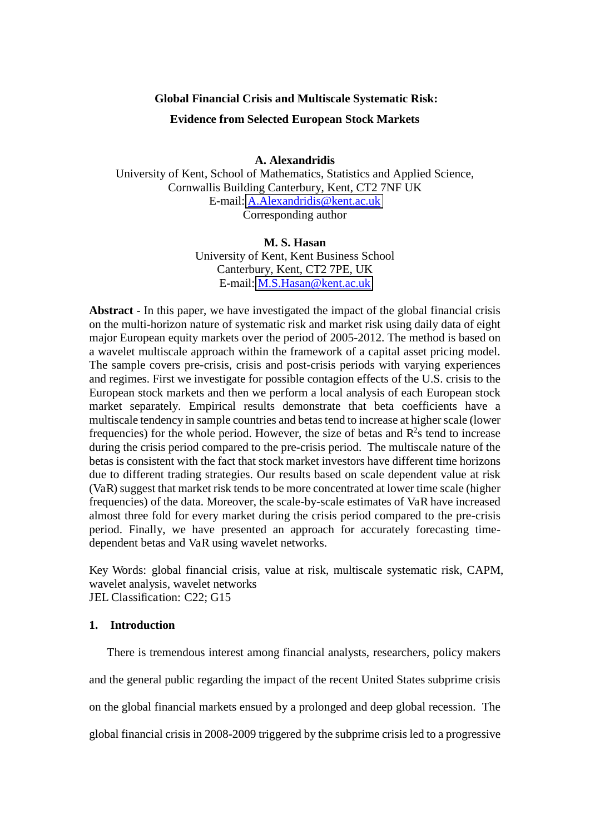#### **Global Financial Crisis and Multiscale Systematic Risk:**

#### **Evidence from Selected European Stock Markets**

**A. Alexandridis** 

University of Kent, School of Mathematics, Statistics and Applied Science, Cornwallis Building Canterbury, Kent, CT2 7NF UK E-mail: [A.Alexandridis@kent.ac.uk](mailto:A.Alexandridis@kent.ac.uk)  Corresponding author

#### **M. S. Hasan**

University of Kent, Kent Business School Canterbury, Kent, CT2 7PE, UK E-mail: [M.S.Hasan@kent.ac.uk](mailto:M.S.Hasan@kent.ac.uk)

**Abstract** - In this paper, we have investigated the impact of the global financial crisis on the multi-horizon nature of systematic risk and market risk using daily data of eight major European equity markets over the period of 2005-2012. The method is based on a wavelet multiscale approach within the framework of a capital asset pricing model. The sample covers pre-crisis, crisis and post-crisis periods with varying experiences and regimes. First we investigate for possible contagion effects of the U.S. crisis to the European stock markets and then we perform a local analysis of each European stock market separately. Empirical results demonstrate that beta coefficients have a multiscale tendency in sample countries and betas tend to increase at higher scale (lower frequencies) for the whole period. However, the size of betas and  $R^2$ s tend to increase during the crisis period compared to the pre-crisis period. The multiscale nature of the betas is consistent with the fact that stock market investors have different time horizons due to different trading strategies. Our results based on scale dependent value at risk (VaR) suggest that market risk tends to be more concentrated at lower time scale (higher frequencies) of the data. Moreover, the scale-by-scale estimates of VaR have increased almost three fold for every market during the crisis period compared to the pre-crisis period. Finally, we have presented an approach for accurately forecasting timedependent betas and VaR using wavelet networks.

Key Words: global financial crisis, value at risk, multiscale systematic risk, CAPM, wavelet analysis, wavelet networks JEL Classification: C22; G15

#### **1. Introduction**

There is tremendous interest among financial analysts, researchers, policy makers and the general public regarding the impact of the recent United States subprime crisis on the global financial markets ensued by a prolonged and deep global recession. The global financial crisis in 2008-2009 triggered by the subprime crisis led to a progressive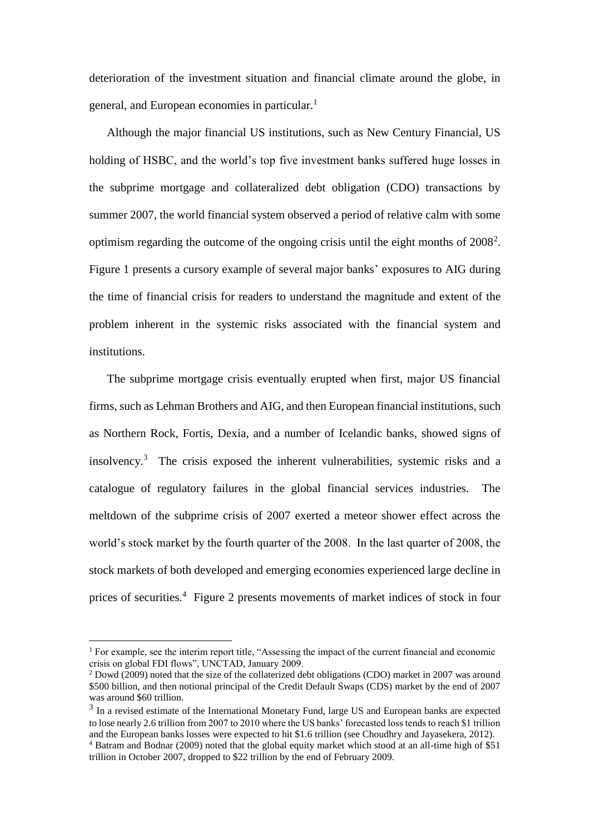deterioration of the investment situation and financial climate around the globe, in general, and European economies in particular.<sup>1</sup>

Although the major financial US institutions, such as New Century Financial, US holding of HSBC, and the world's top five investment banks suffered huge losses in the subprime mortgage and collateralized debt obligation (CDO) transactions by summer 2007, the world financial system observed a period of relative calm with some optimism regarding the outcome of the ongoing crisis until the eight months of  $2008<sup>2</sup>$ . Figure 1 presents a cursory example of several major banks' exposures to AIG during the time of financial crisis for readers to understand the magnitude and extent of the problem inherent in the systemic risks associated with the financial system and institutions.

The subprime mortgage crisis eventually erupted when first, major US financial firms, such as Lehman Brothers and AIG, and then European financial institutions, such as Northern Rock, Fortis, Dexia, and a number of Icelandic banks, showed signs of insolvency.<sup>3</sup> The crisis exposed the inherent vulnerabilities, systemic risks and a catalogue of regulatory failures in the global financial services industries. The meltdown of the subprime crisis of 2007 exerted a meteor shower effect across the world's stock market by the fourth quarter of the 2008. In the last quarter of 2008, the stock markets of both developed and emerging economies experienced large decline in prices of securities.<sup>4</sup> Figure 2 presents movements of market indices of stock in four

<sup>&</sup>lt;sup>1</sup> For example, see the interim report title, "Assessing the impact of the current financial and economic crisis on global FDI flows", UNCTAD, January 2009.

 $2$  Dowd (2009) noted that the size of the collaterized debt obligations (CDO) market in 2007 was around \$500 billion, and then notional principal of the Credit Default Swaps (CDS) market by the end of 2007 was around \$60 trillion.

<sup>&</sup>lt;sup>3</sup> In a revised estimate of the International Monetary Fund, large US and European banks are expected to lose nearly 2.6 trillion from 2007 to 2010 where the US banks' forecasted loss tends to reach \$1 trillion and the European banks losses were expected to hit \$1.6 trillion (see Choudhry and Jayasekera, 2012).

<sup>4</sup> Batram and Bodnar (2009) noted that the global equity market which stood at an all-time high of \$51 trillion in October 2007, dropped to \$22 trillion by the end of February 2009.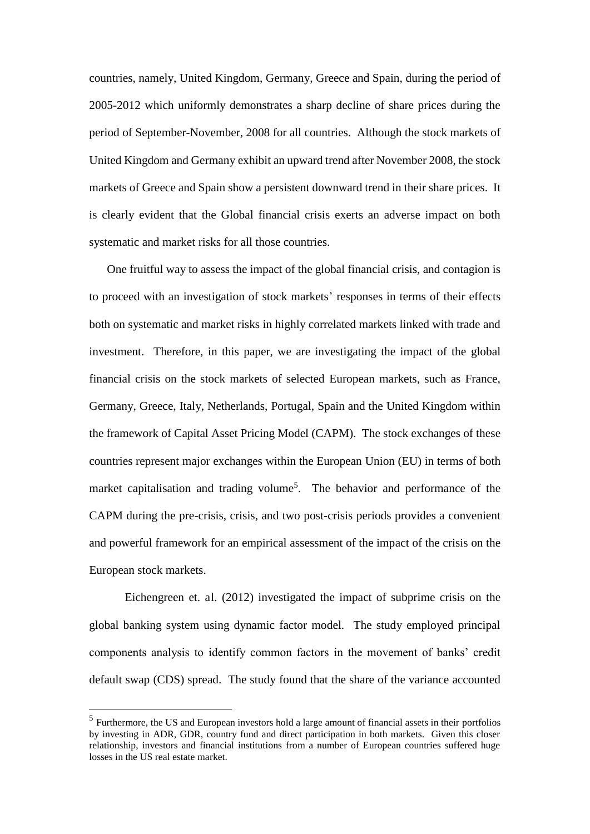countries, namely, United Kingdom, Germany, Greece and Spain, during the period of 2005-2012 which uniformly demonstrates a sharp decline of share prices during the period of September-November, 2008 for all countries. Although the stock markets of United Kingdom and Germany exhibit an upward trend after November 2008, the stock markets of Greece and Spain show a persistent downward trend in their share prices. It is clearly evident that the Global financial crisis exerts an adverse impact on both systematic and market risks for all those countries.

One fruitful way to assess the impact of the global financial crisis, and contagion is to proceed with an investigation of stock markets' responses in terms of their effects both on systematic and market risks in highly correlated markets linked with trade and investment. Therefore, in this paper, we are investigating the impact of the global financial crisis on the stock markets of selected European markets, such as France, Germany, Greece, Italy, Netherlands, Portugal, Spain and the United Kingdom within the framework of Capital Asset Pricing Model (CAPM). The stock exchanges of these countries represent major exchanges within the European Union (EU) in terms of both market capitalisation and trading volume<sup>5</sup>. The behavior and performance of the CAPM during the pre-crisis, crisis, and two post-crisis periods provides a convenient and powerful framework for an empirical assessment of the impact of the crisis on the European stock markets.

Eichengreen et. al. (2012) investigated the impact of subprime crisis on the global banking system using dynamic factor model. The study employed principal components analysis to identify common factors in the movement of banks' credit default swap (CDS) spread. The study found that the share of the variance accounted

<sup>&</sup>lt;sup>5</sup> Furthermore, the US and European investors hold a large amount of financial assets in their portfolios by investing in ADR, GDR, country fund and direct participation in both markets. Given this closer relationship, investors and financial institutions from a number of European countries suffered huge losses in the US real estate market.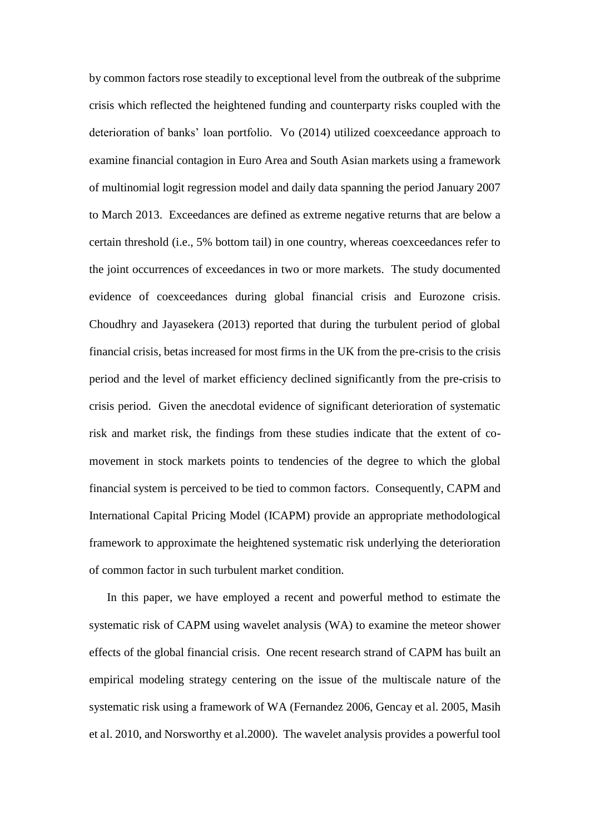by common factors rose steadily to exceptional level from the outbreak of the subprime crisis which reflected the heightened funding and counterparty risks coupled with the deterioration of banks' loan portfolio. Vo (2014) utilized coexceedance approach to examine financial contagion in Euro Area and South Asian markets using a framework of multinomial logit regression model and daily data spanning the period January 2007 to March 2013. Exceedances are defined as extreme negative returns that are below a certain threshold (i.e., 5% bottom tail) in one country, whereas coexceedances refer to the joint occurrences of exceedances in two or more markets. The study documented evidence of coexceedances during global financial crisis and Eurozone crisis. Choudhry and Jayasekera (2013) reported that during the turbulent period of global financial crisis, betas increased for most firms in the UK from the pre-crisis to the crisis period and the level of market efficiency declined significantly from the pre-crisis to crisis period. Given the anecdotal evidence of significant deterioration of systematic risk and market risk, the findings from these studies indicate that the extent of comovement in stock markets points to tendencies of the degree to which the global financial system is perceived to be tied to common factors. Consequently, CAPM and International Capital Pricing Model (ICAPM) provide an appropriate methodological framework to approximate the heightened systematic risk underlying the deterioration of common factor in such turbulent market condition.

In this paper, we have employed a recent and powerful method to estimate the systematic risk of CAPM using wavelet analysis (WA) to examine the meteor shower effects of the global financial crisis. One recent research strand of CAPM has built an empirical modeling strategy centering on the issue of the multiscale nature of the systematic risk using a framework of WA (Fernandez 2006, Gencay et al. 2005, Masih et al. 2010, and Norsworthy et al.2000). The wavelet analysis provides a powerful tool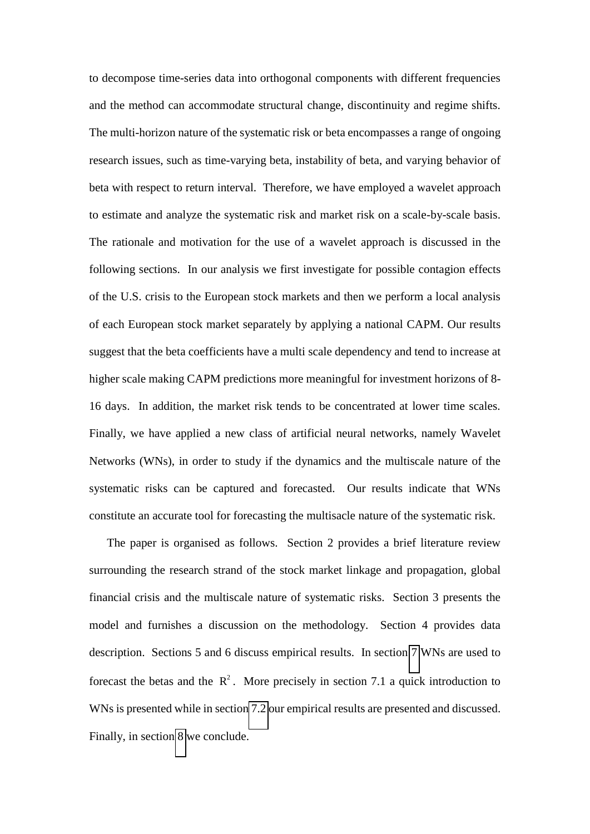to decompose time-series data into orthogonal components with different frequencies and the method can accommodate structural change, discontinuity and regime shifts. The multi-horizon nature of the systematic risk or beta encompasses a range of ongoing research issues, such as time-varying beta, instability of beta, and varying behavior of beta with respect to return interval. Therefore, we have employed a wavelet approach to estimate and analyze the systematic risk and market risk on a scale-by-scale basis. The rationale and motivation for the use of a wavelet approach is discussed in the following sections. In our analysis we first investigate for possible contagion effects of the U.S. crisis to the European stock markets and then we perform a local analysis of each European stock market separately by applying a national CAPM. Our results suggest that the beta coefficients have a multi scale dependency and tend to increase at higher scale making CAPM predictions more meaningful for investment horizons of 8- 16 days. In addition, the market risk tends to be concentrated at lower time scales. Finally, we have applied a new class of artificial neural networks, namely Wavelet Networks (WNs), in order to study if the dynamics and the multiscale nature of the systematic risks can be captured and forecasted. Our results indicate that WNs constitute an accurate tool for forecasting the multisacle nature of the systematic risk.

The paper is organised as follows. Section 2 provides a brief literature review surrounding the research strand of the stock market linkage and propagation, global financial crisis and the multiscale nature of systematic risks. Section 3 presents the model and furnishes a discussion on the methodology. Section 4 provides data description. Sections 5 and 6 discuss empirical results. In section [7](#page-27-0) WNs are used to forecast the betas and the  $\mathbb{R}^2$ . More precisely in section 7.1 a quick introduction to WNs is presented while in sectio[n 7.2](#page-28-0) our empirical results are presented and discussed. Finally, in section [8](#page-30-0) we conclude.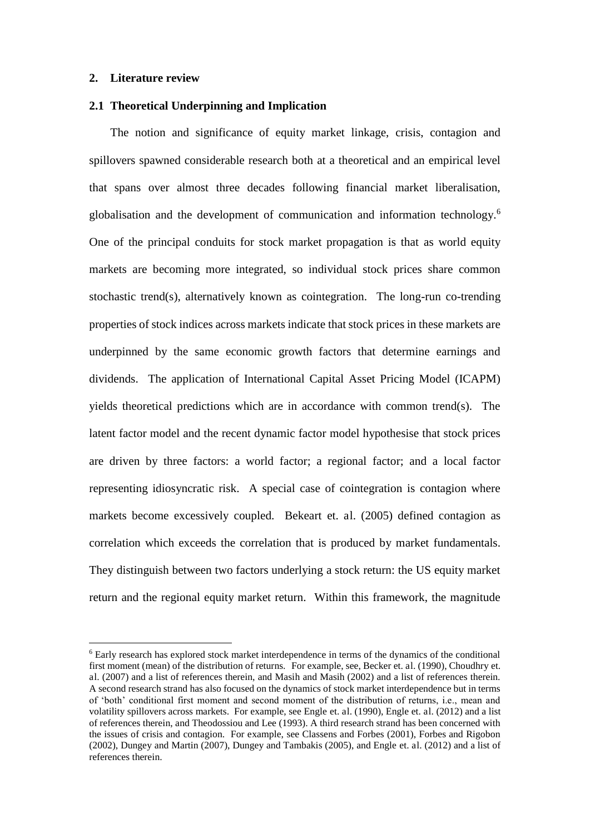#### **2. Literature review**

<u>.</u>

#### **2.1 Theoretical Underpinning and Implication**

The notion and significance of equity market linkage, crisis, contagion and spillovers spawned considerable research both at a theoretical and an empirical level that spans over almost three decades following financial market liberalisation, globalisation and the development of communication and information technology.<sup>6</sup> One of the principal conduits for stock market propagation is that as world equity markets are becoming more integrated, so individual stock prices share common stochastic trend(s), alternatively known as cointegration. The long-run co-trending properties of stock indices across markets indicate that stock prices in these markets are underpinned by the same economic growth factors that determine earnings and dividends. The application of International Capital Asset Pricing Model (ICAPM) yields theoretical predictions which are in accordance with common trend(s). The latent factor model and the recent dynamic factor model hypothesise that stock prices are driven by three factors: a world factor; a regional factor; and a local factor representing idiosyncratic risk. A special case of cointegration is contagion where markets become excessively coupled. Bekeart et. al. (2005) defined contagion as correlation which exceeds the correlation that is produced by market fundamentals. They distinguish between two factors underlying a stock return: the US equity market return and the regional equity market return. Within this framework, the magnitude

<sup>&</sup>lt;sup>6</sup> Early research has explored stock market interdependence in terms of the dynamics of the conditional first moment (mean) of the distribution of returns. For example, see, Becker et. al. (1990), Choudhry et. al. (2007) and a list of references therein, and Masih and Masih (2002) and a list of references therein. A second research strand has also focused on the dynamics of stock market interdependence but in terms of 'both' conditional first moment and second moment of the distribution of returns, i.e., mean and volatility spillovers across markets. For example, see Engle et. al. (1990), Engle et. al. (2012) and a list of references therein, and Theodossiou and Lee (1993). A third research strand has been concerned with the issues of crisis and contagion. For example, see Classens and Forbes (2001), Forbes and Rigobon (2002), Dungey and Martin (2007), Dungey and Tambakis (2005), and Engle et. al. (2012) and a list of references therein.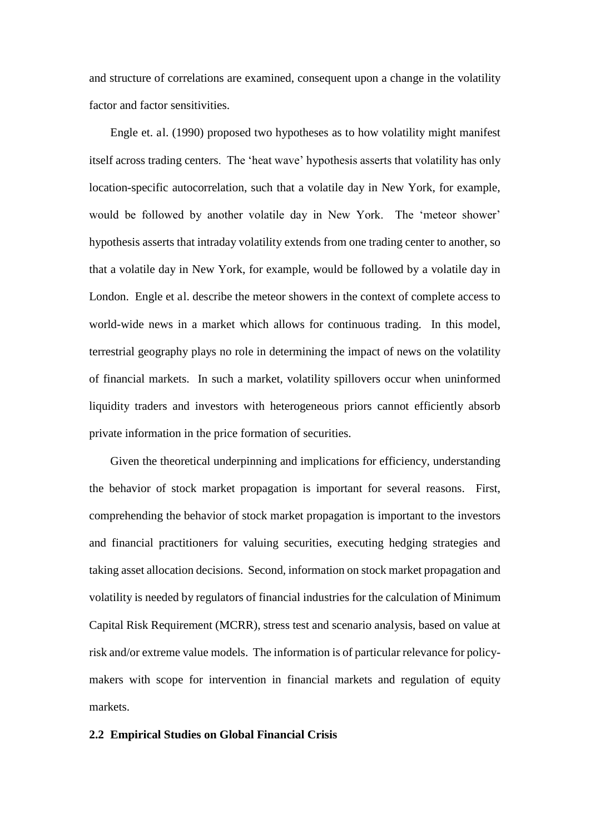and structure of correlations are examined, consequent upon a change in the volatility factor and factor sensitivities.

Engle et. al. (1990) proposed two hypotheses as to how volatility might manifest itself across trading centers. The 'heat wave' hypothesis asserts that volatility has only location-specific autocorrelation, such that a volatile day in New York, for example, would be followed by another volatile day in New York. The 'meteor shower' hypothesis asserts that intraday volatility extends from one trading center to another, so that a volatile day in New York, for example, would be followed by a volatile day in London. Engle et al. describe the meteor showers in the context of complete access to world-wide news in a market which allows for continuous trading. In this model, terrestrial geography plays no role in determining the impact of news on the volatility of financial markets. In such a market, volatility spillovers occur when uninformed liquidity traders and investors with heterogeneous priors cannot efficiently absorb private information in the price formation of securities.

Given the theoretical underpinning and implications for efficiency, understanding the behavior of stock market propagation is important for several reasons. First, comprehending the behavior of stock market propagation is important to the investors and financial practitioners for valuing securities, executing hedging strategies and taking asset allocation decisions. Second, information on stock market propagation and volatility is needed by regulators of financial industries for the calculation of Minimum Capital Risk Requirement (MCRR), stress test and scenario analysis, based on value at risk and/or extreme value models. The information is of particular relevance for policymakers with scope for intervention in financial markets and regulation of equity markets.

#### **2.2 Empirical Studies on Global Financial Crisis**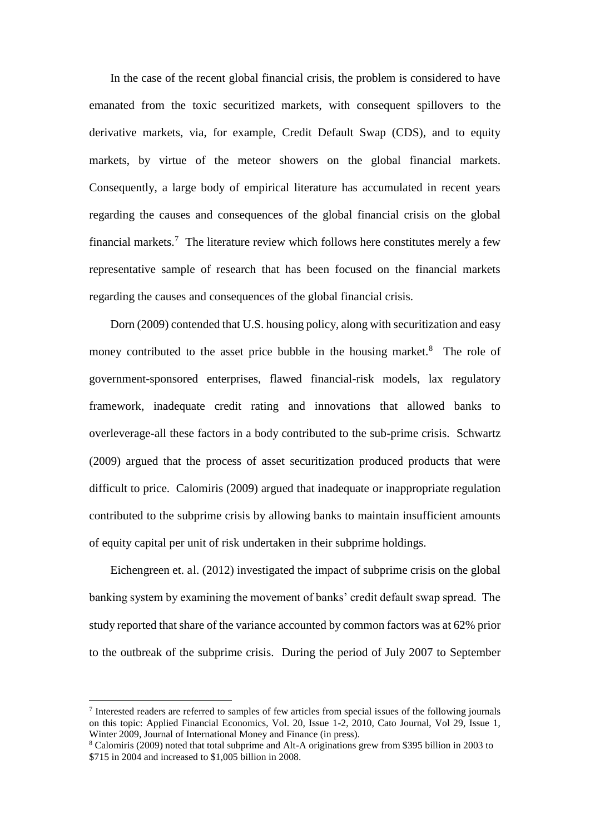In the case of the recent global financial crisis, the problem is considered to have emanated from the toxic securitized markets, with consequent spillovers to the derivative markets, via, for example, Credit Default Swap (CDS), and to equity markets, by virtue of the meteor showers on the global financial markets. Consequently, a large body of empirical literature has accumulated in recent years regarding the causes and consequences of the global financial crisis on the global financial markets.<sup>7</sup> The literature review which follows here constitutes merely a few representative sample of research that has been focused on the financial markets regarding the causes and consequences of the global financial crisis.

Dorn (2009) contended that U.S. housing policy, along with securitization and easy money contributed to the asset price bubble in the housing market.<sup>8</sup> The role of government-sponsored enterprises, flawed financial-risk models, lax regulatory framework, inadequate credit rating and innovations that allowed banks to overleverage-all these factors in a body contributed to the sub-prime crisis. Schwartz (2009) argued that the process of asset securitization produced products that were difficult to price. Calomiris (2009) argued that inadequate or inappropriate regulation contributed to the subprime crisis by allowing banks to maintain insufficient amounts of equity capital per unit of risk undertaken in their subprime holdings.

Eichengreen et. al. (2012) investigated the impact of subprime crisis on the global banking system by examining the movement of banks' credit default swap spread. The study reported that share of the variance accounted by common factors was at 62% prior to the outbreak of the subprime crisis. During the period of July 2007 to September

<sup>7</sup> Interested readers are referred to samples of few articles from special issues of the following journals on this topic: Applied Financial Economics, Vol. 20, Issue 1-2, 2010, Cato Journal, Vol 29, Issue 1, Winter 2009, Journal of International Money and Finance (in press).

<sup>8</sup> Calomiris (2009) noted that total subprime and Alt-A originations grew from \$395 billion in 2003 to \$715 in 2004 and increased to \$1,005 billion in 2008.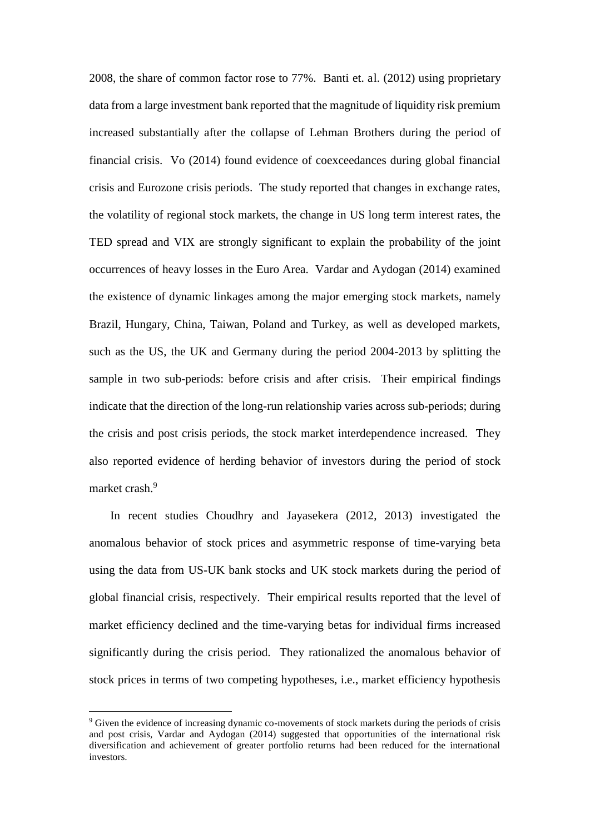2008, the share of common factor rose to 77%. Banti et. al. (2012) using proprietary data from a large investment bank reported that the magnitude of liquidity risk premium increased substantially after the collapse of Lehman Brothers during the period of financial crisis. Vo (2014) found evidence of coexceedances during global financial crisis and Eurozone crisis periods. The study reported that changes in exchange rates, the volatility of regional stock markets, the change in US long term interest rates, the TED spread and VIX are strongly significant to explain the probability of the joint occurrences of heavy losses in the Euro Area. Vardar and Aydogan (2014) examined the existence of dynamic linkages among the major emerging stock markets, namely Brazil, Hungary, China, Taiwan, Poland and Turkey, as well as developed markets, such as the US, the UK and Germany during the period 2004-2013 by splitting the sample in two sub-periods: before crisis and after crisis. Their empirical findings indicate that the direction of the long-run relationship varies across sub-periods; during the crisis and post crisis periods, the stock market interdependence increased. They also reported evidence of herding behavior of investors during the period of stock market crash.<sup>9</sup>

In recent studies Choudhry and Jayasekera (2012, 2013) investigated the anomalous behavior of stock prices and asymmetric response of time-varying beta using the data from US-UK bank stocks and UK stock markets during the period of global financial crisis, respectively. Their empirical results reported that the level of market efficiency declined and the time-varying betas for individual firms increased significantly during the crisis period. They rationalized the anomalous behavior of stock prices in terms of two competing hypotheses, i.e., market efficiency hypothesis

<sup>&</sup>lt;sup>9</sup> Given the evidence of increasing dynamic co-movements of stock markets during the periods of crisis and post crisis, Vardar and Aydogan (2014) suggested that opportunities of the international risk diversification and achievement of greater portfolio returns had been reduced for the international investors.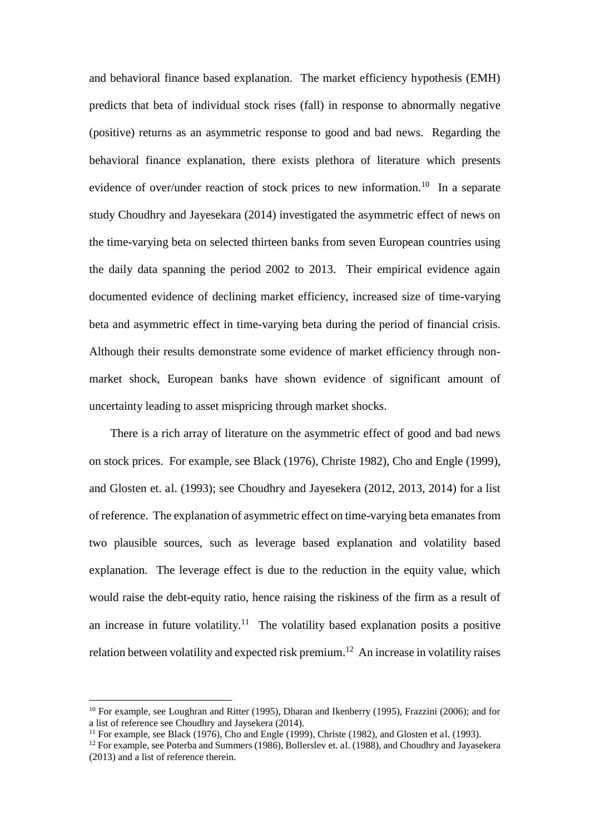and behavioral finance based explanation. The market efficiency hypothesis (EMH) predicts that beta of individual stock rises (fall) in response to abnormally negative (positive) returns as an asymmetric response to good and bad news. Regarding the behavioral finance explanation, there exists plethora of literature which presents evidence of over/under reaction of stock prices to new information.<sup>10</sup> In a separate study Choudhry and Jayesekara (2014) investigated the asymmetric effect of news on the time-varying beta on selected thirteen banks from seven European countries using the daily data spanning the period 2002 to 2013. Their empirical evidence again documented evidence of declining market efficiency, increased size of time-varying beta and asymmetric effect in time-varying beta during the period of financial crisis. Although their results demonstrate some evidence of market efficiency through nonmarket shock, European banks have shown evidence of significant amount of uncertainty leading to asset mispricing through market shocks.

There is a rich array of literature on the asymmetric effect of good and bad news on stock prices. For example, see Black (1976), Christe 1982), Cho and Engle (1999), and Glosten et. al. (1993); see Choudhry and Jayesekera (2012, 2013, 2014) for a list of reference. The explanation of asymmetric effect on time-varying beta emanates from two plausible sources, such as leverage based explanation and volatility based explanation. The leverage effect is due to the reduction in the equity value, which would raise the debt-equity ratio, hence raising the riskiness of the firm as a result of an increase in future volatility.<sup>11</sup> The volatility based explanation posits a positive relation between volatility and expected risk premium.<sup>12</sup> An increase in volatility raises

<sup>10</sup> For example, see Loughran and Ritter (1995), Dharan and Ikenberry (1995), Frazzini (2006); and for a list of reference see Choudhry and Jaysekera (2014).

<sup>&</sup>lt;sup>11</sup> For example, see Black (1976), Cho and Engle (1999), Christe (1982), and Glosten et al. (1993).

<sup>12</sup> For example, see Poterba and Summers (1986), Bollerslev et. al. (1988), and Choudhry and Jayasekera (2013) and a list of reference therein.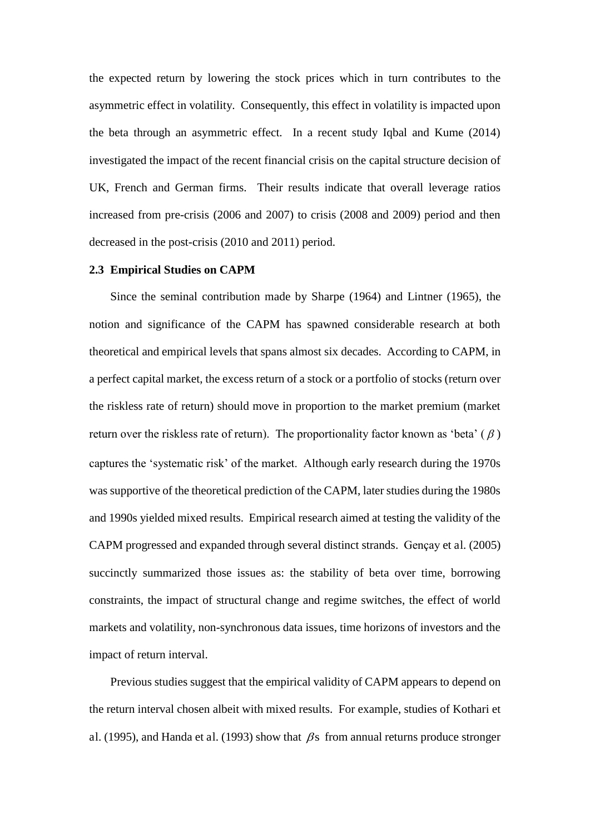the expected return by lowering the stock prices which in turn contributes to the asymmetric effect in volatility. Consequently, this effect in volatility is impacted upon the beta through an asymmetric effect. In a recent study Iqbal and Kume (2014) investigated the impact of the recent financial crisis on the capital structure decision of UK, French and German firms. Their results indicate that overall leverage ratios increased from pre-crisis (2006 and 2007) to crisis (2008 and 2009) period and then decreased in the post-crisis (2010 and 2011) period.

#### **2.3 Empirical Studies on CAPM**

Since the seminal contribution made by Sharpe (1964) and Lintner (1965), the notion and significance of the CAPM has spawned considerable research at both theoretical and empirical levels that spans almost six decades. According to CAPM, in a perfect capital market, the excess return of a stock or a portfolio of stocks (return over the riskless rate of return) should move in proportion to the market premium (market return over the riskless rate of return). The proportionality factor known as 'beta'  $(\beta)$ captures the 'systematic risk' of the market. Although early research during the 1970s was supportive of the theoretical prediction of the CAPM, later studies during the 1980s and 1990s yielded mixed results. Empirical research aimed at testing the validity of the CAPM progressed and expanded through several distinct strands. Gençay et al. (2005) succinctly summarized those issues as: the stability of beta over time, borrowing constraints, the impact of structural change and regime switches, the effect of world markets and volatility, non-synchronous data issues, time horizons of investors and the impact of return interval.

Previous studies suggest that the empirical validity of CAPM appears to depend on the return interval chosen albeit with mixed results. For example, studies of Kothari et al. (1995), and Handa et al. (1993) show that  $\beta$ s from annual returns produce stronger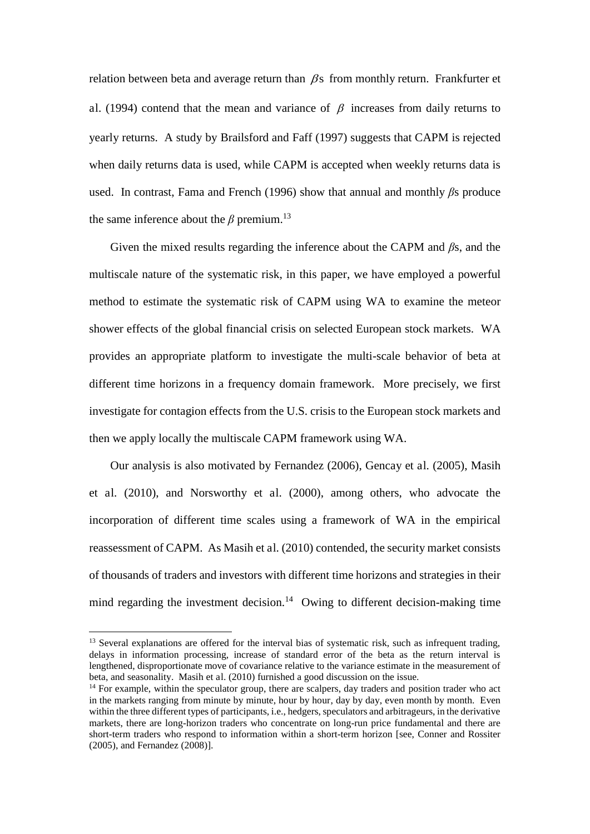relation between beta and average return than  $\beta$ s from monthly return. Frankfurter et al. (1994) contend that the mean and variance of  $\beta$  increases from daily returns to yearly returns. A study by Brailsford and Faff (1997) suggests that CAPM is rejected when daily returns data is used, while CAPM is accepted when weekly returns data is used. In contrast, Fama and French (1996) show that annual and monthly  $\beta s$  produce the same inference about the  $\beta$  premium.<sup>13</sup>

Given the mixed results regarding the inference about the CAPM and  $\beta$ s, and the multiscale nature of the systematic risk, in this paper, we have employed a powerful method to estimate the systematic risk of CAPM using WA to examine the meteor shower effects of the global financial crisis on selected European stock markets. WA provides an appropriate platform to investigate the multi-scale behavior of beta at different time horizons in a frequency domain framework. More precisely, we first investigate for contagion effects from the U.S. crisis to the European stock markets and then we apply locally the multiscale CAPM framework using WA.

Our analysis is also motivated by Fernandez (2006), Gencay et al. (2005), Masih et al. (2010), and Norsworthy et al. (2000), among others, who advocate the incorporation of different time scales using a framework of WA in the empirical reassessment of CAPM. As Masih et al. (2010) contended, the security market consists of thousands of traders and investors with different time horizons and strategies in their mind regarding the investment decision.<sup>14</sup> Owing to different decision-making time

<sup>&</sup>lt;sup>13</sup> Several explanations are offered for the interval bias of systematic risk, such as infrequent trading, delays in information processing, increase of standard error of the beta as the return interval is lengthened, disproportionate move of covariance relative to the variance estimate in the measurement of beta, and seasonality. Masih et al. (2010) furnished a good discussion on the issue.

<sup>&</sup>lt;sup>14</sup> For example, within the speculator group, there are scalpers, day traders and position trader who act in the markets ranging from minute by minute, hour by hour, day by day, even month by month. Even within the three different types of participants, i.e., hedgers, speculators and arbitrageurs, in the derivative markets, there are long-horizon traders who concentrate on long-run price fundamental and there are short-term traders who respond to information within a short-term horizon [see, Conner and Rossiter (2005), and Fernandez (2008)].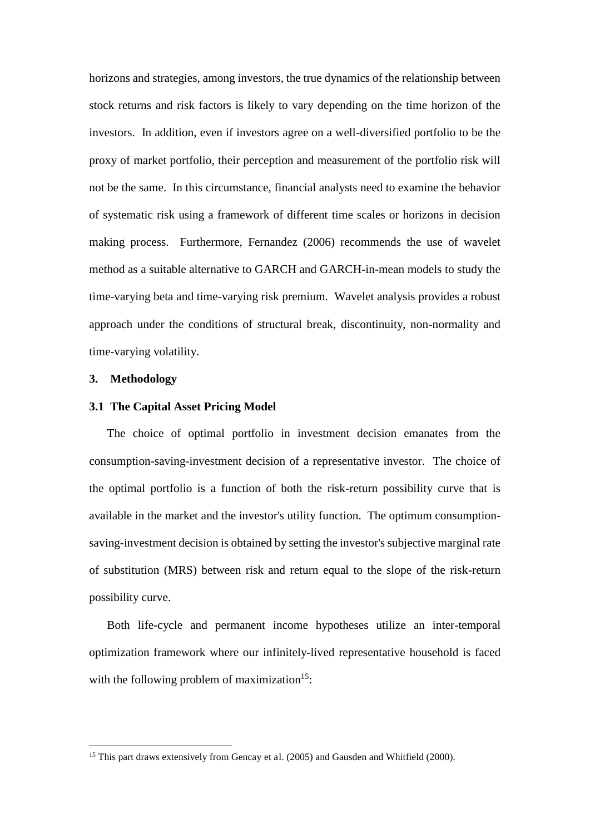horizons and strategies, among investors, the true dynamics of the relationship between stock returns and risk factors is likely to vary depending on the time horizon of the investors. In addition, even if investors agree on a well-diversified portfolio to be the proxy of market portfolio, their perception and measurement of the portfolio risk will not be the same. In this circumstance, financial analysts need to examine the behavior of systematic risk using a framework of different time scales or horizons in decision making process. Furthermore, Fernandez (2006) recommends the use of wavelet method as a suitable alternative to GARCH and GARCH-in-mean models to study the time-varying beta and time-varying risk premium. Wavelet analysis provides a robust approach under the conditions of structural break, discontinuity, non-normality and time-varying volatility.

#### **3. Methodology**

<u>.</u>

#### **3.1 The Capital Asset Pricing Model**

The choice of optimal portfolio in investment decision emanates from the consumption-saving-investment decision of a representative investor. The choice of the optimal portfolio is a function of both the risk-return possibility curve that is available in the market and the investor's utility function. The optimum consumptionsaving-investment decision is obtained by setting the investor's subjective marginal rate of substitution (MRS) between risk and return equal to the slope of the risk-return possibility curve.

Both life-cycle and permanent income hypotheses utilize an inter-temporal optimization framework where our infinitely-lived representative household is faced with the following problem of maximization $15$ :

<sup>&</sup>lt;sup>15</sup> This part draws extensively from Gencay et al.  $(2005)$  and Gausden and Whitfield  $(2000)$ .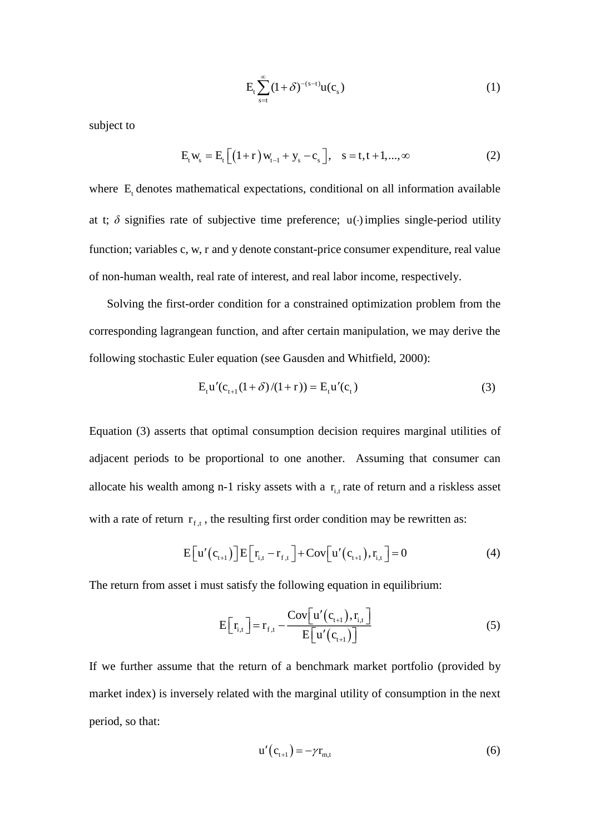$$
E_t \sum_{s=t}^{\infty} (1+\delta)^{-(s-t)} u(c_s)
$$
 (1)

subject to

$$
E_{t} w_{s} = E_{t} \left[ \left( 1 + r \right) w_{t-1} + y_{s} - c_{s} \right], \quad s = t, t + 1, ..., \infty
$$
 (2)

where  $E_t$  denotes mathematical expectations, conditional on all information available at t;  $\delta$  signifies rate of subjective time preference; u( $\cdot$ ) implies single-period utility function; variables c, w, r and y denote constant-price consumer expenditure, real value of non-human wealth, real rate of interest, and real labor income, respectively.

Solving the first-order condition for a constrained optimization problem from the corresponding lagrangean function, and after certain manipulation, we may derive the following stochastic Euler equation (see Gausden and Whitfield, 2000):

$$
E_t u'(c_{t+1}(1+\delta)/(1+r)) = E_t u'(c_t)
$$
\n(3)

Equation (3) asserts that optimal consumption decision requires marginal utilities of adjacent periods to be proportional to one another. Assuming that consumer can allocate his wealth among n-1 risky assets with a  $r_{i,t}$  rate of return and a riskless asset with a rate of return  $r_{f,t}$ , the resulting first order condition may be rewritten as:

$$
E\left[u'(c_{t+1})\right]E\left[r_{i,t}-r_{f,t}\right]+Cov\left[u'(c_{t+1}),r_{i,t}\right]=0
$$
\n(4)

The return from asset i must satisfy the following equation in equilibrium:

$$
E\left[r_{i,t}\right] = r_{f,t} - \frac{\text{Cov}\left[u'(c_{t+1}), r_{i,t}\right]}{E\left[u'(c_{t+1})\right]}
$$
(5)

If we further assume that the return of a benchmark market portfolio (provided by market index) is inversely related with the marginal utility of consumption in the next period, so that:

$$
u'(c_{t+1}) = -\gamma r_{m,t} \tag{6}
$$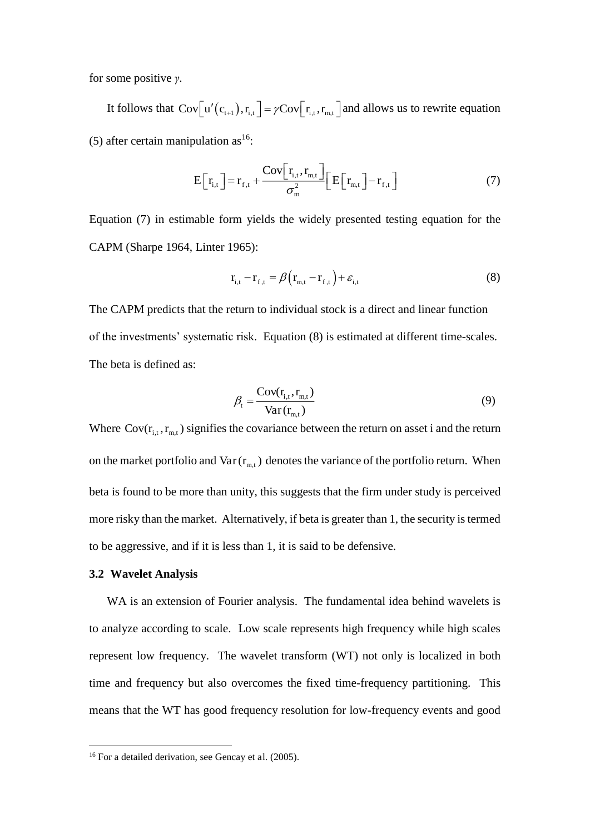for some positive *け*.

It follows that  $Cov[u'(c_{t+1}), r_{i,t}] = \gamma Cov[r_{i,t}, r_{m,t}]$  and allows us to rewrite equation (5) after certain manipulation as  $16$ :

$$
E\left[r_{i,t}\right] = r_{f,t} + \frac{\text{Cov}\left[r_{i,t}, r_{m,t}\right]}{\sigma_m^2} \left[E\left[r_{m,t}\right] - r_{f,t}\right]
$$
(7)

Equation (7) in estimable form yields the widely presented testing equation for the CAPM (Sharpe 1964, Linter 1965):

$$
\mathbf{r}_{i,t} - \mathbf{r}_{f,t} = \beta \left( \mathbf{r}_{m,t} - \mathbf{r}_{f,t} \right) + \varepsilon_{i,t} \tag{8}
$$

The CAPM predicts that the return to individual stock is a direct and linear function of the investments' systematic risk. Equation (8) is estimated at different time-scales. The beta is defined as:

$$
\beta_{t} = \frac{\text{Cov}(\mathbf{r}_{i,t}, \mathbf{r}_{m,t})}{\text{Var}(\mathbf{r}_{m,t})}
$$
(9)

Where  $Cov(r_{i,t}, r_{m,t})$  signifies the covariance between the return on asset i and the return on the market portfolio and  $Var(r_{m,t})$  denotes the variance of the portfolio return. When beta is found to be more than unity, this suggests that the firm under study is perceived more risky than the market. Alternatively, if beta is greater than 1, the security is termed to be aggressive, and if it is less than 1, it is said to be defensive.

#### **3.2 Wavelet Analysis**

<u>.</u>

WA is an extension of Fourier analysis. The fundamental idea behind wavelets is to analyze according to scale. Low scale represents high frequency while high scales represent low frequency. The wavelet transform (WT) not only is localized in both time and frequency but also overcomes the fixed time-frequency partitioning. This means that the WT has good frequency resolution for low-frequency events and good

<sup>&</sup>lt;sup>16</sup> For a detailed derivation, see Gencay et al. (2005).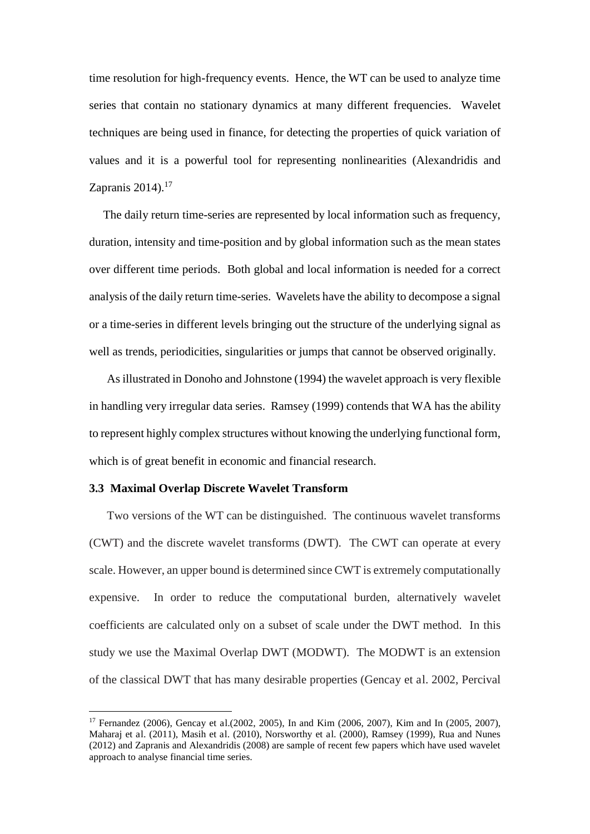time resolution for high-frequency events. Hence, the WT can be used to analyze time series that contain no stationary dynamics at many different frequencies. Wavelet techniques are being used in finance, for detecting the properties of quick variation of values and it is a powerful tool for representing nonlinearities (Alexandridis and Zapranis  $2014$ ).<sup>17</sup>

The daily return time-series are represented by local information such as frequency, duration, intensity and time-position and by global information such as the mean states over different time periods. Both global and local information is needed for a correct analysis of the daily return time-series. Wavelets have the ability to decompose a signal or a time-series in different levels bringing out the structure of the underlying signal as well as trends, periodicities, singularities or jumps that cannot be observed originally.

As illustrated in Donoho and Johnstone (1994) the wavelet approach is very flexible in handling very irregular data series. Ramsey (1999) contends that WA has the ability to represent highly complex structures without knowing the underlying functional form, which is of great benefit in economic and financial research.

#### **3.3 Maximal Overlap Discrete Wavelet Transform**

<u>.</u>

Two versions of the WT can be distinguished. The continuous wavelet transforms (CWT) and the discrete wavelet transforms (DWT). The CWT can operate at every scale. However, an upper bound is determined since CWT is extremely computationally expensive. In order to reduce the computational burden, alternatively wavelet coefficients are calculated only on a subset of scale under the DWT method. In this study we use the Maximal Overlap DWT (MODWT). The MODWT is an extension of the classical DWT that has many desirable properties (Gencay et al. 2002, Percival

<sup>17</sup> Fernandez (2006), Gencay et al.(2002, 2005), In and Kim (2006, 2007), Kim and In (2005, 2007), Maharaj et al. (2011), Masih et al. (2010), Norsworthy et al. (2000), Ramsey (1999), Rua and Nunes (2012) and Zapranis and Alexandridis (2008) are sample of recent few papers which have used wavelet approach to analyse financial time series.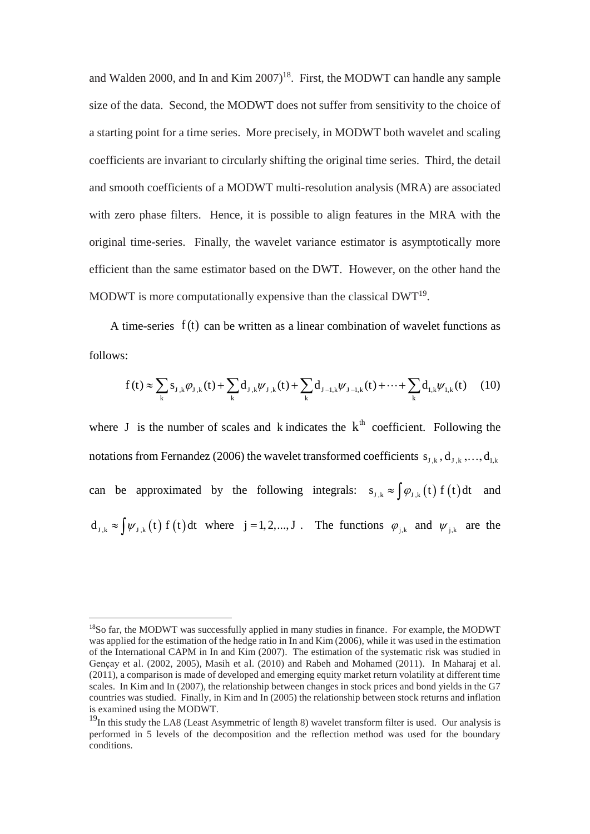and Walden 2000, and In and Kim  $2007$ <sup>18</sup>. First, the MODWT can handle any sample size of the data. Second, the MODWT does not suffer from sensitivity to the choice of a starting point for a time series. More precisely, in MODWT both wavelet and scaling coefficients are invariant to circularly shifting the original time series. Third, the detail and smooth coefficients of a MODWT multi-resolution analysis (MRA) are associated with zero phase filters. Hence, it is possible to align features in the MRA with the original time-series. Finally, the wavelet variance estimator is asymptotically more efficient than the same estimator based on the DWT. However, on the other hand the MODWT is more computationally expensive than the classical  $DWT<sup>19</sup>$ .

A time-series  $f(t)$  can be written as a linear combination of wavelet functions as follows:

$$
f(t) \approx \sum_{k} s_{J,k} \varphi_{J,k}(t) + \sum_{k} d_{J,k} \psi_{J,k}(t) + \sum_{k} d_{J-l,k} \psi_{J-l,k}(t) + \dots + \sum_{k} d_{I,k} \psi_{I,k}(t) \tag{10}
$$

where J is the number of scales and k indicates the  $k<sup>th</sup>$  coefficient. Following the notations from Fernandez (2006) the wavelet transformed coefficients  $s_{J,k}$ ,  $d_{J,k}$ ,...,  $d_{I,k}$ can be approximated by the following integrals:  $s_{J,k} \approx \int \varphi_{J,k}(t) f(t) dt$  and  $d_{J,k} \approx \int \psi_{J,k}(t) f(t) dt$  where  $j = 1, 2, ..., J$ . The functions  $\varphi_{j,k}$  and  $\psi_{j,k}$  are the

-

<sup>&</sup>lt;sup>18</sup>So far, the MODWT was successfully applied in many studies in finance. For example, the MODWT was applied for the estimation of the hedge ratio in In and Kim (2006), while it was used in the estimation of the International CAPM in In and Kim (2007). The estimation of the systematic risk was studied in Gençay et al. (2002, 2005), Masih et al. (2010) and Rabeh and Mohamed (2011). In Maharaj et al. (2011), a comparison is made of developed and emerging equity market return volatility at different time scales. In Kim and In (2007), the relationship between changes in stock prices and bond yields in the G7 countries was studied. Finally, in Kim and In (2005) the relationship between stock returns and inflation is examined using the MODWT.

 $19$ In this study the LA8 (Least Asymmetric of length 8) wavelet transform filter is used. Our analysis is performed in 5 levels of the decomposition and the reflection method was used for the boundary conditions.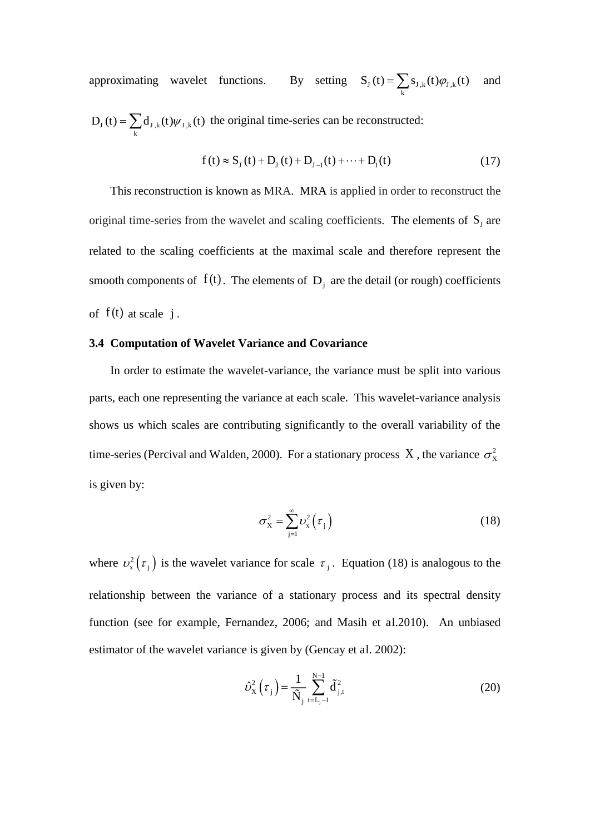approximating wavelet functions. By setting  $S_J(t) = \sum_k s_{J,k}(t) \varphi_{J,k}(t)$  and

 $D_J(t) = \sum_k d_{J,k}(t) \psi_{J,k}(t)$  the original time-series can be reconstructed:

$$
f(t) \approx S_{J}(t) + D_{J}(t) + D_{J-1}(t) + \dots + D_{I}(t)
$$
\n(17)

This reconstruction is known as MRA. MRA is applied in order to reconstruct the original time-series from the wavelet and scaling coefficients. The elements of  $S_j$  are related to the scaling coefficients at the maximal scale and therefore represent the smooth components of  $f(t)$ . The elements of  $D_i$  are the detail (or rough) coefficients of  $f(t)$  at scale j.

#### **3.4 Computation of Wavelet Variance and Covariance**

In order to estimate the wavelet-variance, the variance must be split into various parts, each one representing the variance at each scale. This wavelet-variance analysis shows us which scales are contributing significantly to the overall variability of the time-series (Percival and Walden, 2000). For a stationary process X, the variance  $\sigma_{\rm x}^2$ is given by:

$$
\sigma_{\mathbf{x}}^2 = \sum_{j=1}^{\infty} \nu_{\mathbf{x}}^2 \left( \tau_j \right) \tag{18}
$$

where  $v_x^2(\tau_j)$  is the wavelet variance for scale  $\tau_j$ . Equation (18) is analogous to the relationship between the variance of a stationary process and its spectral density function (see for example, Fernandez, 2006; and Masih et al.2010). An unbiased estimator of the wavelet variance is given by (Gencay et al. 2002):

$$
\hat{\nu}_{\mathbf{x}}^{2}\left(\tau_{j}\right) = \frac{1}{\tilde{N}_{j}} \sum_{t=L_{j}-1}^{N-1} \tilde{d}_{j,t}^{2}
$$
\n(20)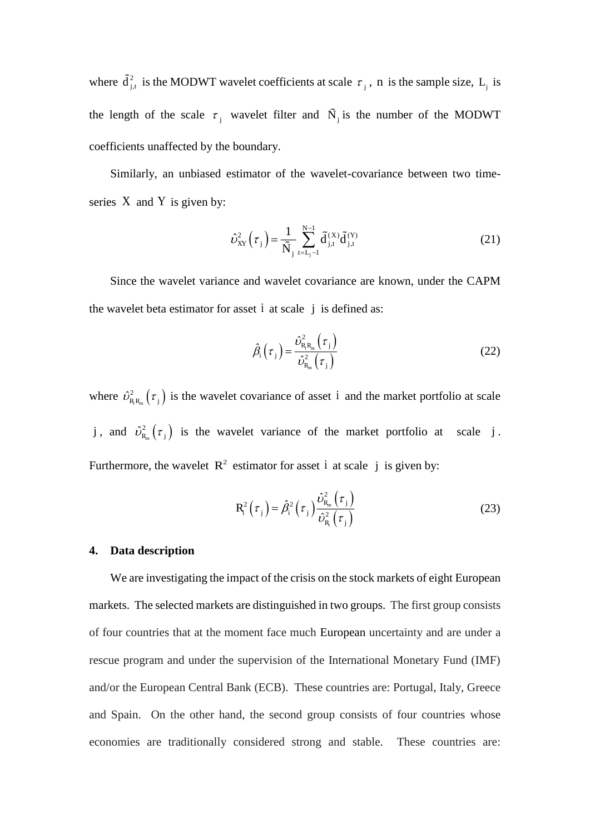where  $\mathbf{d}_{j,t}^2$  is the MODWT wavelet coefficients at scale  $\tau_j$ , n is the sample size, L<sub>j</sub> is the length of the scale  $\tau_j$  wavelet filter and  $\dot{N}_j$  is the number of the MODWT coefficients unaffected by the boundary.

Similarly, an unbiased estimator of the wavelet-covariance between two timeseries X and Y is given by:

$$
\hat{\nu}_{XY}^2(\tau_j) = \frac{1}{\tilde{N}_j} \sum_{t=L_j-1}^{N-1} \tilde{d}_{j,t}^{(X)} \tilde{d}_{j,t}^{(Y)} \tag{21}
$$

Since the wavelet variance and wavelet covariance are known, under the CAPM the wavelet beta estimator for asset i at scale j is defined as:

$$
\hat{\beta}_{i}\left(\tau_{j}\right) = \frac{\hat{\nu}_{R_{i}R_{m}}^{2}\left(\tau_{j}\right)}{\hat{\nu}_{R_{m}}^{2}\left(\tau_{j}\right)}
$$
\n(22)

where  $\hat{\nu}_{R,R_m}^2(\tau_j)$  is the wavelet covariance of asset i and the market portfolio at scale j, and  $\hat{\nu}_{R_m}^2(\tau_j)$  is the wavelet variance of the market portfolio at scale j. Furthermore, the wavelet  $R^2$  estimator for asset i at scale j is given by:

$$
R_i^2(\tau_j) = \hat{\beta}_i^2(\tau_j) \frac{\hat{\nu}_{R_m}^2(\tau_j)}{\hat{\nu}_{R_i}^2(\tau_j)}
$$
(23)

#### **4. Data description**

We are investigating the impact of the crisis on the stock markets of eight European markets. The selected markets are distinguished in two groups. The first group consists of four countries that at the moment face much European uncertainty and are under a rescue program and under the supervision of the International Monetary Fund (IMF) and/or the European Central Bank (ECB). These countries are: Portugal, Italy, Greece and Spain. On the other hand, the second group consists of four countries whose economies are traditionally considered strong and stable. These countries are: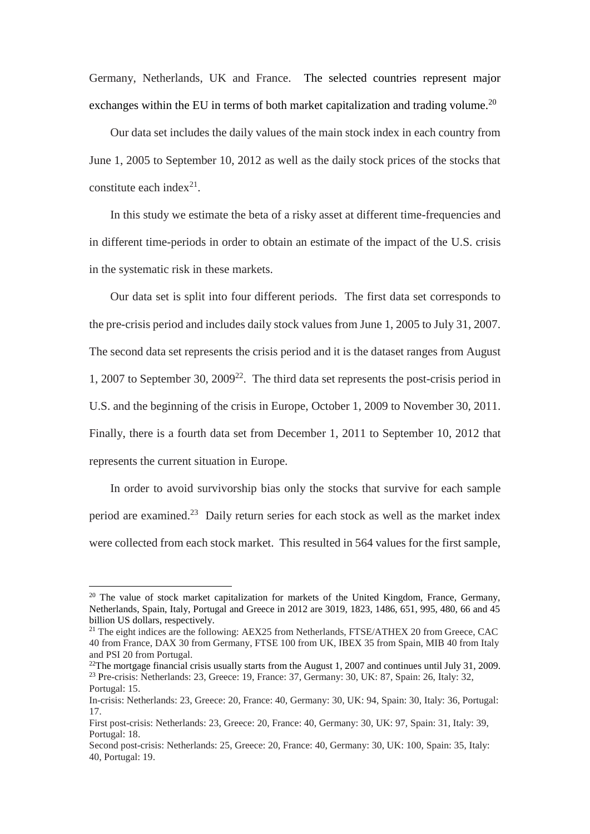Germany, Netherlands, UK and France. The selected countries represent major exchanges within the EU in terms of both market capitalization and trading volume.<sup>20</sup>

Our data set includes the daily values of the main stock index in each country from June 1, 2005 to September 10, 2012 as well as the daily stock prices of the stocks that constitute each index $2<sup>1</sup>$ .

In this study we estimate the beta of a risky asset at different time-frequencies and in different time-periods in order to obtain an estimate of the impact of the U.S. crisis in the systematic risk in these markets.

Our data set is split into four different periods. The first data set corresponds to the pre-crisis period and includes daily stock values from June 1, 2005 to July 31, 2007. The second data set represents the crisis period and it is the dataset ranges from August 1, 2007 to September 30,  $2009^{22}$ . The third data set represents the post-crisis period in U.S. and the beginning of the crisis in Europe, October 1, 2009 to November 30, 2011. Finally, there is a fourth data set from December 1, 2011 to September 10, 2012 that represents the current situation in Europe.

In order to avoid survivorship bias only the stocks that survive for each sample period are examined. <sup>23</sup> Daily return series for each stock as well as the market index were collected from each stock market. This resulted in 564 values for the first sample,

<sup>&</sup>lt;sup>20</sup> The value of stock market capitalization for markets of the United Kingdom, France, Germany, Netherlands, Spain, Italy, Portugal and Greece in 2012 are 3019, 1823, 1486, 651, 995, 480, 66 and 45 billion US dollars, respectively.

<sup>&</sup>lt;sup>21</sup> The eight indices are the following: AEX25 from Netherlands, FTSE/ATHEX 20 from Greece, CAC 40 from France, DAX 30 from Germany, FTSE 100 from UK, IBEX 35 from Spain, MIB 40 from Italy and PSI 20 from Portugal.

 $22$ The mortgage financial crisis usually starts from the August 1, 2007 and continues until July 31, 2009. <sup>23</sup> Pre-crisis: Netherlands: 23, Greece: 19, France: 37, Germany: 30, UK: 87, Spain: 26, Italy: 32, Portugal: 15.

In-crisis: Netherlands: 23, Greece: 20, France: 40, Germany: 30, UK: 94, Spain: 30, Italy: 36, Portugal: 17.

First post-crisis: Netherlands: 23, Greece: 20, France: 40, Germany: 30, UK: 97, Spain: 31, Italy: 39, Portugal: 18.

Second post-crisis: Netherlands: 25, Greece: 20, France: 40, Germany: 30, UK: 100, Spain: 35, Italy: 40, Portugal: 19.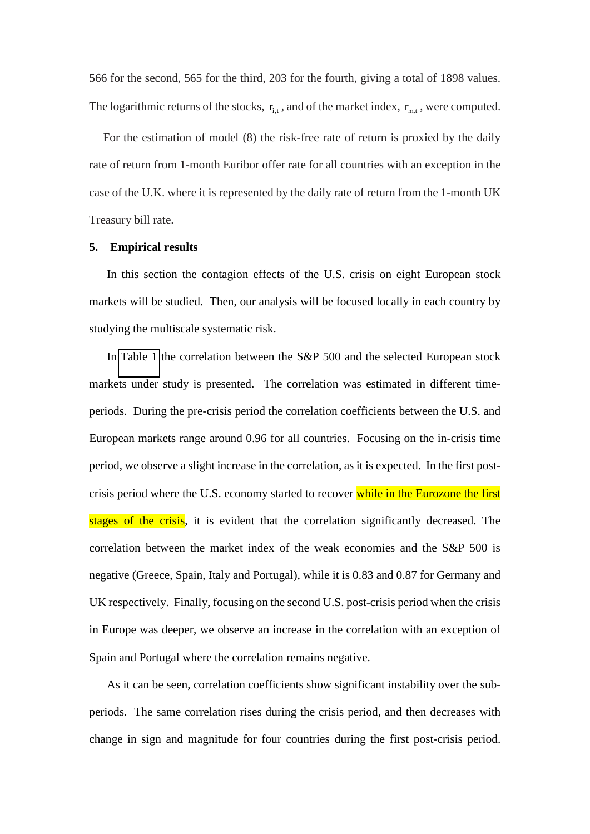566 for the second, 565 for the third, 203 for the fourth, giving a total of 1898 values. The logarithmic returns of the stocks,  $r_{i,t}$ , and of the market index,  $r_{m,t}$ , were computed.

For the estimation of model (8) the risk-free rate of return is proxied by the daily rate of return from 1-month Euribor offer rate for all countries with an exception in the case of the U.K. where it is represented by the daily rate of return from the 1-month UK Treasury bill rate.

#### **5. Empirical results**

In this section the contagion effects of the U.S. crisis on eight European stock markets will be studied. Then, our analysis will be focused locally in each country by studying the multiscale systematic risk.

In [Table 1](#page-42-0) the correlation between the S&P 500 and the selected European stock markets under study is presented. The correlation was estimated in different timeperiods. During the pre-crisis period the correlation coefficients between the U.S. and European markets range around 0.96 for all countries. Focusing on the in-crisis time period, we observe a slight increase in the correlation, as it is expected. In the first postcrisis period where the U.S. economy started to recover while in the Eurozone the first stages of the crisis, it is evident that the correlation significantly decreased. The correlation between the market index of the weak economies and the S&P 500 is negative (Greece, Spain, Italy and Portugal), while it is 0.83 and 0.87 for Germany and UK respectively. Finally, focusing on the second U.S. post-crisis period when the crisis in Europe was deeper, we observe an increase in the correlation with an exception of Spain and Portugal where the correlation remains negative.

As it can be seen, correlation coefficients show significant instability over the subperiods. The same correlation rises during the crisis period, and then decreases with change in sign and magnitude for four countries during the first post-crisis period.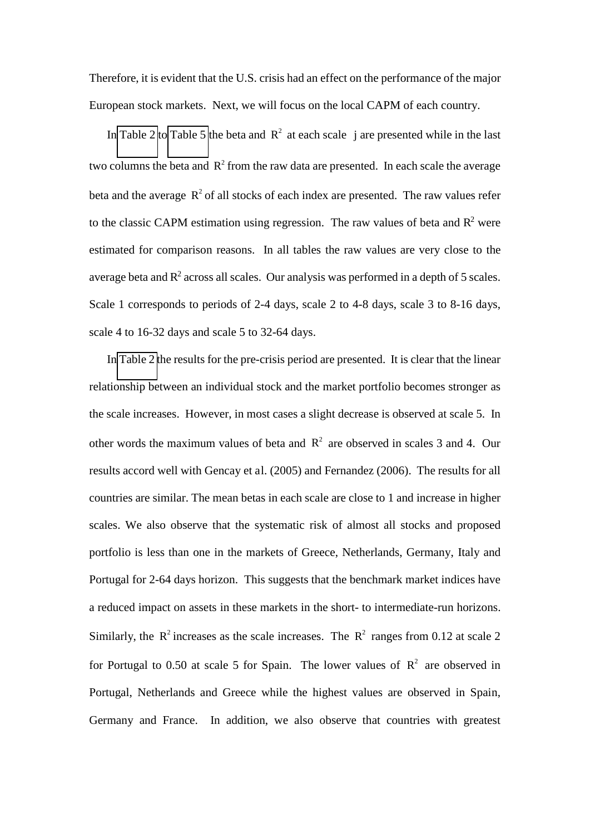Therefore, it is evident that the U.S. crisis had an effect on the performance of the major European stock markets. Next, we will focus on the local CAPM of each country.

In [Table 2](#page-43-0) to [Table 5](#page-46-0) the beta and  $R^2$  at each scale j are presented while in the last two columns the beta and  $R^2$  from the raw data are presented. In each scale the average beta and the average  $R^2$  of all stocks of each index are presented. The raw values refer to the classic CAPM estimation using regression. The raw values of beta and  $\mathbb{R}^2$  were estimated for comparison reasons. In all tables the raw values are very close to the average beta and  $R<sup>2</sup>$  across all scales. Our analysis was performed in a depth of 5 scales. Scale 1 corresponds to periods of 2-4 days, scale 2 to 4-8 days, scale 3 to 8-16 days, scale 4 to 16-32 days and scale 5 to 32-64 days.

In [Table 2](#page-43-0) the results for the pre-crisis period are presented. It is clear that the linear relationship between an individual stock and the market portfolio becomes stronger as the scale increases. However, in most cases a slight decrease is observed at scale 5. In other words the maximum values of beta and  $R^2$  are observed in scales 3 and 4. Our results accord well with Gencay et al. (2005) and Fernandez (2006). The results for all countries are similar. The mean betas in each scale are close to 1 and increase in higher scales. We also observe that the systematic risk of almost all stocks and proposed portfolio is less than one in the markets of Greece, Netherlands, Germany, Italy and Portugal for 2-64 days horizon. This suggests that the benchmark market indices have a reduced impact on assets in these markets in the short- to intermediate-run horizons. Similarly, the  $R^2$  increases as the scale increases. The  $R^2$  ranges from 0.12 at scale 2 for Portugal to 0.50 at scale 5 for Spain. The lower values of  $\mathbb{R}^2$  are observed in Portugal, Netherlands and Greece while the highest values are observed in Spain, Germany and France. In addition, we also observe that countries with greatest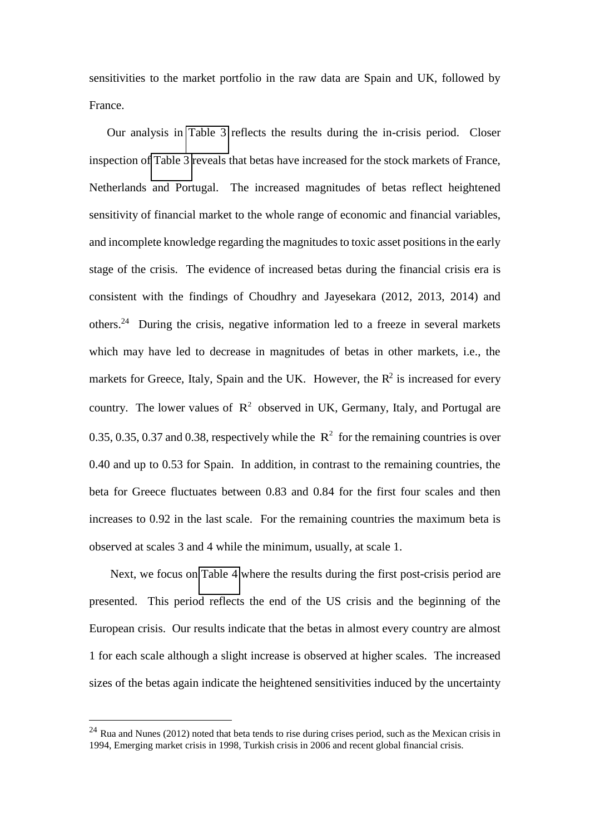sensitivities to the market portfolio in the raw data are Spain and UK, followed by France.

Our analysis in [Table 3](#page-44-0) reflects the results during the in-crisis period. Closer inspection of [Table 3](#page-44-0) reveals that betas have increased for the stock markets of France, Netherlands and Portugal. The increased magnitudes of betas reflect heightened sensitivity of financial market to the whole range of economic and financial variables, and incomplete knowledge regarding the magnitudes to toxic asset positions in the early stage of the crisis. The evidence of increased betas during the financial crisis era is consistent with the findings of Choudhry and Jayesekara (2012, 2013, 2014) and others.<sup>24</sup> During the crisis, negative information led to a freeze in several markets which may have led to decrease in magnitudes of betas in other markets, i.e., the markets for Greece, Italy, Spain and the UK. However, the  $\mathbb{R}^2$  is increased for every country. The lower values of  $\mathbb{R}^2$  observed in UK, Germany, Italy, and Portugal are 0.35, 0.35, 0.37 and 0.38, respectively while the  $R^2$  for the remaining countries is over 0.40 and up to 0.53 for Spain. In addition, in contrast to the remaining countries, the beta for Greece fluctuates between 0.83 and 0.84 for the first four scales and then increases to 0.92 in the last scale. For the remaining countries the maximum beta is observed at scales 3 and 4 while the minimum, usually, at scale 1.

Next, we focus on [Table 4](#page-45-0) where the results during the first post-crisis period are presented. This period reflects the end of the US crisis and the beginning of the European crisis. Our results indicate that the betas in almost every country are almost 1 for each scale although a slight increase is observed at higher scales. The increased sizes of the betas again indicate the heightened sensitivities induced by the uncertainty

-

 $^{24}$  Rua and Nunes (2012) noted that beta tends to rise during crises period, such as the Mexican crisis in 1994, Emerging market crisis in 1998, Turkish crisis in 2006 and recent global financial crisis.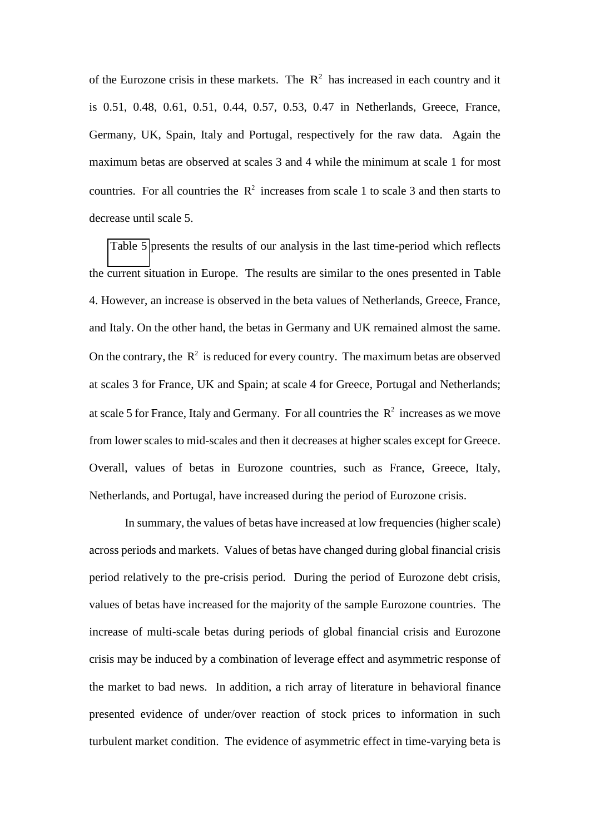of the Eurozone crisis in these markets. The  $\mathbb{R}^2$  has increased in each country and it is 0.51, 0.48, 0.61, 0.51, 0.44, 0.57, 0.53, 0.47 in Netherlands, Greece, France, Germany, UK, Spain, Italy and Portugal, respectively for the raw data. Again the maximum betas are observed at scales 3 and 4 while the minimum at scale 1 for most countries. For all countries the  $R^2$  increases from scale 1 to scale 3 and then starts to decrease until scale 5.

[Table 5](#page-46-0) presents the results of our analysis in the last time-period which reflects the current situation in Europe. The results are similar to the ones presented in Table 4. However, an increase is observed in the beta values of Netherlands, Greece, France, and Italy. On the other hand, the betas in Germany and UK remained almost the same. On the contrary, the  $R^2$  is reduced for every country. The maximum betas are observed at scales 3 for France, UK and Spain; at scale 4 for Greece, Portugal and Netherlands; at scale 5 for France, Italy and Germany. For all countries the  $R^2$  increases as we move from lower scales to mid-scales and then it decreases at higher scales except for Greece. Overall, values of betas in Eurozone countries, such as France, Greece, Italy, Netherlands, and Portugal, have increased during the period of Eurozone crisis.

In summary, the values of betas have increased at low frequencies (higher scale) across periods and markets. Values of betas have changed during global financial crisis period relatively to the pre-crisis period. During the period of Eurozone debt crisis, values of betas have increased for the majority of the sample Eurozone countries. The increase of multi-scale betas during periods of global financial crisis and Eurozone crisis may be induced by a combination of leverage effect and asymmetric response of the market to bad news. In addition, a rich array of literature in behavioral finance presented evidence of under/over reaction of stock prices to information in such turbulent market condition. The evidence of asymmetric effect in time-varying beta is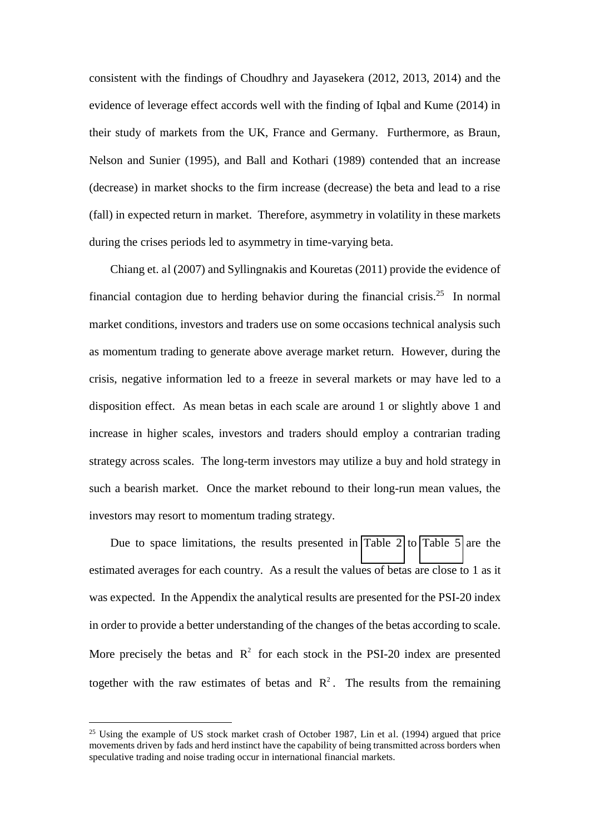consistent with the findings of Choudhry and Jayasekera (2012, 2013, 2014) and the evidence of leverage effect accords well with the finding of Iqbal and Kume (2014) in their study of markets from the UK, France and Germany. Furthermore, as Braun, Nelson and Sunier (1995), and Ball and Kothari (1989) contended that an increase (decrease) in market shocks to the firm increase (decrease) the beta and lead to a rise (fall) in expected return in market. Therefore, asymmetry in volatility in these markets during the crises periods led to asymmetry in time-varying beta.

Chiang et. al (2007) and Syllingnakis and Kouretas (2011) provide the evidence of financial contagion due to herding behavior during the financial crisis.<sup>25</sup> In normal market conditions, investors and traders use on some occasions technical analysis such as momentum trading to generate above average market return. However, during the crisis, negative information led to a freeze in several markets or may have led to a disposition effect. As mean betas in each scale are around 1 or slightly above 1 and increase in higher scales, investors and traders should employ a contrarian trading strategy across scales. The long-term investors may utilize a buy and hold strategy in such a bearish market. Once the market rebound to their long-run mean values, the investors may resort to momentum trading strategy.

Due to space limitations, the results presented in [Table 2](#page-43-0) to [Table 5](#page-46-0) are the estimated averages for each country. As a result the values of betas are close to 1 as it was expected. In the Appendix the analytical results are presented for the PSI-20 index in order to provide a better understanding of the changes of the betas according to scale. More precisely the betas and  $R^2$  for each stock in the PSI-20 index are presented together with the raw estimates of betas and  $\mathbb{R}^2$ . The results from the remaining

-

<sup>&</sup>lt;sup>25</sup> Using the example of US stock market crash of October 1987, Lin et al. (1994) argued that price movements driven by fads and herd instinct have the capability of being transmitted across borders when speculative trading and noise trading occur in international financial markets.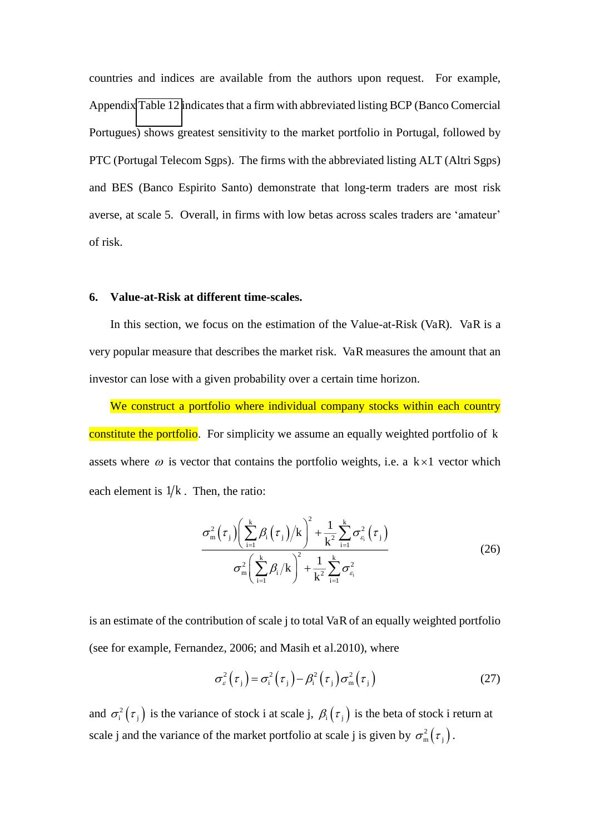countries and indices are available from the authors upon request. For example, Appendi[x Table 12](#page-50-0) indicates that a firm with abbreviated listing BCP (Banco Comercial Portugues) shows greatest sensitivity to the market portfolio in Portugal, followed by PTC (Portugal Telecom Sgps). The firms with the abbreviated listing ALT (Altri Sgps) and BES (Banco Espirito Santo) demonstrate that long-term traders are most risk averse, at scale 5. Overall, in firms with low betas across scales traders are 'amateur' of risk.

#### **6. Value-at-Risk at different time-scales.**

In this section, we focus on the estimation of the Value-at-Risk (VaR). VaR is a very popular measure that describes the market risk. VaR measures the amount that an investor can lose with a given probability over a certain time horizon.

We construct a portfolio where individual company stocks within each country constitute the portfolio. For simplicity we assume an equally weighted portfolio of k assets where  $\omega$  is vector that contains the portfolio weights, i.e. a k×1 vector which each element is  $1/k$ . Then, the ratio:

$$
\frac{\sigma_{\mathsf{m}}^{2}(\tau_{\mathsf{j}})\left(\sum_{i=1}^{k}\beta_{i}\left(\tau_{\mathsf{j}}\right)\middle/\mathsf{k}\right)^{2}+\frac{1}{k^{2}}\sum_{i=1}^{k}\sigma_{\varepsilon_{i}}^{2}\left(\tau_{\mathsf{j}}\right)}{\sigma_{\mathsf{m}}^{2}\left(\sum_{i=1}^{k}\beta_{i}\middle/\mathsf{k}\right)^{2}+\frac{1}{k^{2}}\sum_{i=1}^{k}\sigma_{\varepsilon_{i}}^{2}}\tag{26}
$$

is an estimate of the contribution of scale j to total VaR of an equally weighted portfolio (see for example, Fernandez, 2006; and Masih et al.2010), where

$$
\sigma_{\varepsilon}^{2}(\tau_{j}) = \sigma_{i}^{2}(\tau_{j}) - \beta_{i}^{2}(\tau_{j})\sigma_{m}^{2}(\tau_{j})
$$
\n(27)

and  $\sigma_i^2(\tau_j)$  is the variance of stock i at scale j,  $\beta_i(\tau_j)$  is the beta of stock i return at scale j and the variance of the market portfolio at scale j is given by  $\sigma_{\rm m}^2(\tau_{\rm j})$ .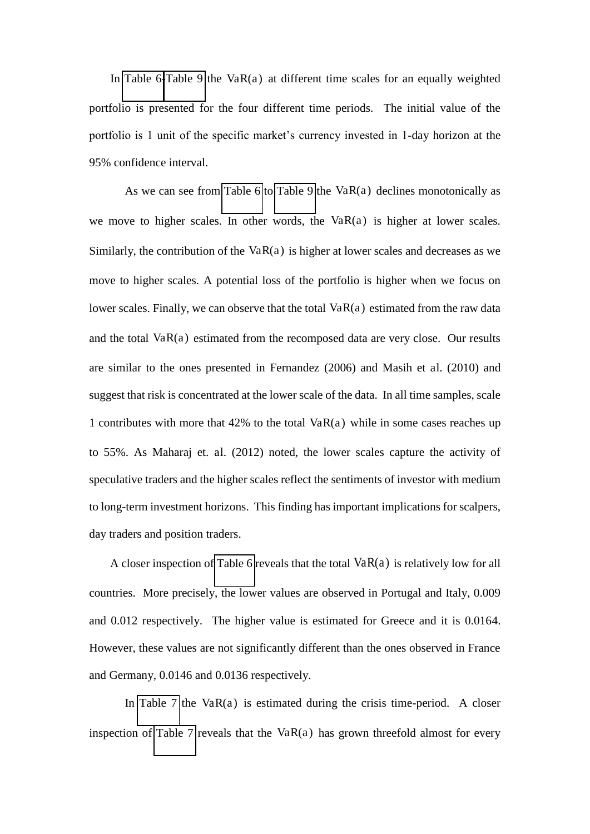In [Table 6](#page-47-0)[-Table 9](#page-48-0) the  $VaR(a)$  at different time scales for an equally weighted portfolio is presented for the four different time periods. The initial value of the portfolio is 1 unit of the specific market's currency invested in 1-day horizon at the 95% confidence interval.

As we can see from [Table 6](#page-47-0) to [Table 9](#page-48-0) the VaR(a) declines monotonically as we move to higher scales. In other words, the  $VaR(a)$  is higher at lower scales. Similarly, the contribution of the VaR $(a)$  is higher at lower scales and decreases as we move to higher scales. A potential loss of the portfolio is higher when we focus on lower scales. Finally, we can observe that the total  $VaR(a)$  estimated from the raw data and the total  $VaR(a)$  estimated from the recomposed data are very close. Our results are similar to the ones presented in Fernandez (2006) and Masih et al. (2010) and suggest that risk is concentrated at the lower scale of the data. In all time samples, scale 1 contributes with more that 42% to the total  $VaR(a)$  while in some cases reaches up to 55%. As Maharaj et. al. (2012) noted, the lower scales capture the activity of speculative traders and the higher scales reflect the sentiments of investor with medium to long-term investment horizons. This finding has important implications for scalpers, day traders and position traders.

A closer inspection o[f Table 6](#page-47-0) reveals that the total  $VaR(a)$  is relatively low for all countries. More precisely, the lower values are observed in Portugal and Italy, 0.009 and 0.012 respectively. The higher value is estimated for Greece and it is 0.0164. However, these values are not significantly different than the ones observed in France and Germany, 0.0146 and 0.0136 respectively.

<span id="page-27-0"></span>In [Table 7](#page-47-1) the VaR $(a)$  is estimated during the crisis time-period. A closer inspection of [Table 7](#page-47-1) reveals that the Va $R(a)$  has grown threefold almost for every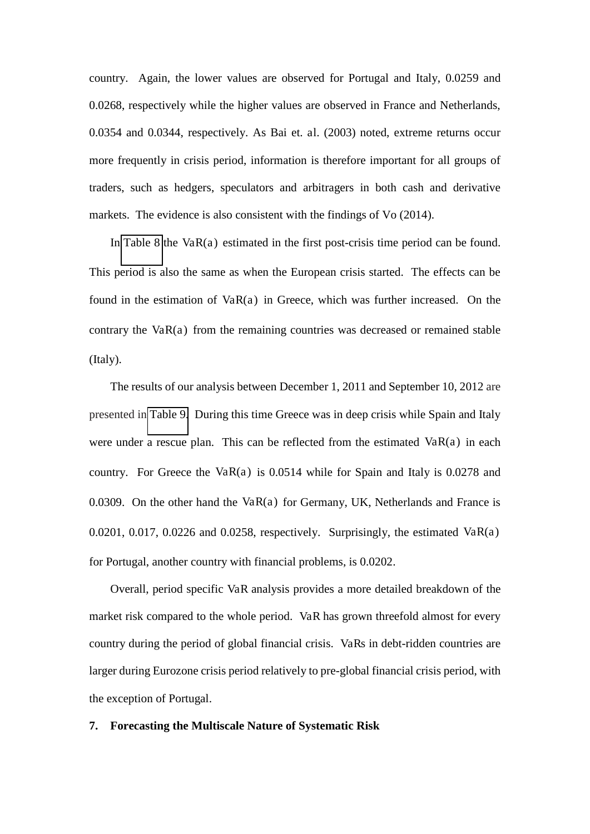country. Again, the lower values are observed for Portugal and Italy, 0.0259 and 0.0268, respectively while the higher values are observed in France and Netherlands, 0.0354 and 0.0344, respectively. As Bai et. al. (2003) noted, extreme returns occur more frequently in crisis period, information is therefore important for all groups of traders, such as hedgers, speculators and arbitragers in both cash and derivative markets. The evidence is also consistent with the findings of Vo (2014).

In [Table 8](#page-48-1) the Va $R(a)$  estimated in the first post-crisis time period can be found. This period is also the same as when the European crisis started. The effects can be found in the estimation of  $VaR(a)$  in Greece, which was further increased. On the contrary the  $VaR(a)$  from the remaining countries was decreased or remained stable (Italy).

The results of our analysis between December 1, 2011 and September 10, 2012 are presented in [Table 9.](#page-48-0) During this time Greece was in deep crisis while Spain and Italy were under a rescue plan. This can be reflected from the estimated  $VaR(a)$  in each country. For Greece the VaR(a) is  $0.0514$  while for Spain and Italy is  $0.0278$  and 0.0309. On the other hand the  $VaR(a)$  for Germany, UK, Netherlands and France is 0.0201, 0.017, 0.0226 and 0.0258, respectively. Surprisingly, the estimated  $VaR(a)$ for Portugal, another country with financial problems, is 0.0202.

Overall, period specific VaR analysis provides a more detailed breakdown of the market risk compared to the whole period. VaR has grown threefold almost for every country during the period of global financial crisis. VaRs in debt-ridden countries are larger during Eurozone crisis period relatively to pre-global financial crisis period, with the exception of Portugal.

#### <span id="page-28-0"></span>**7. Forecasting the Multiscale Nature of Systematic Risk**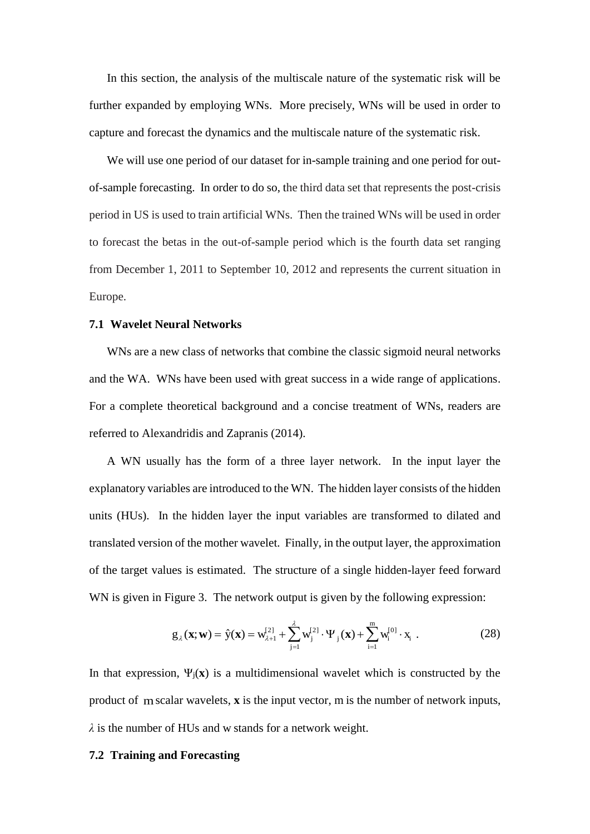In this section, the analysis of the multiscale nature of the systematic risk will be further expanded by employing WNs. More precisely, WNs will be used in order to capture and forecast the dynamics and the multiscale nature of the systematic risk.

We will use one period of our dataset for in-sample training and one period for outof-sample forecasting. In order to do so, the third data set that represents the post-crisis period in US is used to train artificial WNs. Then the trained WNs will be used in order to forecast the betas in the out-of-sample period which is the fourth data set ranging from December 1, 2011 to September 10, 2012 and represents the current situation in Europe.

#### **7.1 Wavelet Neural Networks**

WNs are a new class of networks that combine the classic sigmoid neural networks and the WA. WNs have been used with great success in a wide range of applications. For a complete theoretical background and a concise treatment of WNs, readers are referred to Alexandridis and Zapranis (2014).

A WN usually has the form of a three layer network. In the input layer the explanatory variables are introduced to the WN. The hidden layer consists of the hidden units (HUs). In the hidden layer the input variables are transformed to dilated and translated version of the mother wavelet. Finally, in the output layer, the approximation of the target values is estimated. The structure of a single hidden-layer feed forward WN is given in Figure 3. The network output is given by the following expression:

$$
g_{\lambda}(\mathbf{x}; \mathbf{w}) = \hat{y}(\mathbf{x}) = w_{\lambda+1}^{21} + \sum_{j=1}^{\lambda} w_j^{21} \cdot \Psi_j(\mathbf{x}) + \sum_{i=1}^{m} w_i^{101} \cdot x_i.
$$
 (28)

In that expression,  $\Psi_i(\mathbf{x})$  is a multidimensional wavelet which is constructed by the product of mscalar wavelets, **x** is the input vector, m is the number of network inputs, *そ* is the number of HUs and w stands for a network weight.

#### **7.2 Training and Forecasting**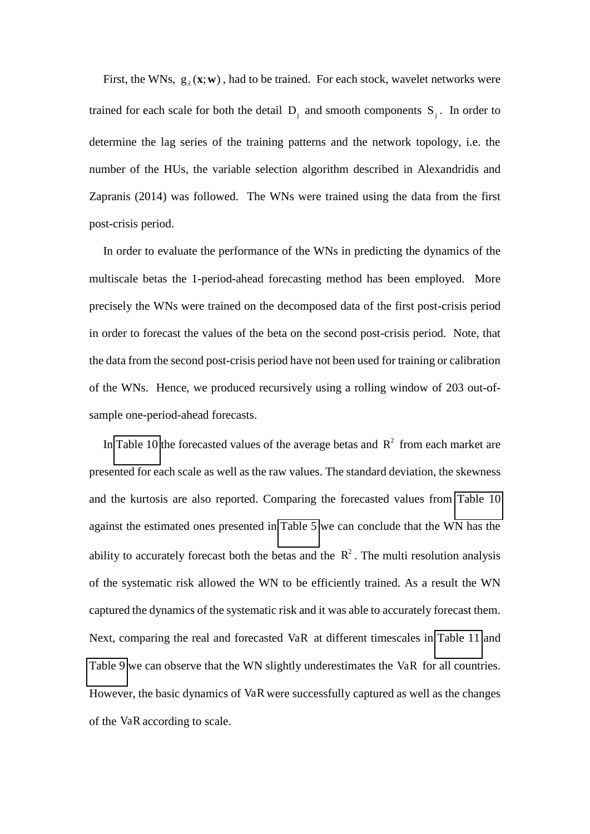First, the WNs,  $g_{\lambda}(\mathbf{x}; \mathbf{w})$ , had to be trained. For each stock, wavelet networks were trained for each scale for both the detail  $D_j$  and smooth components  $S_j$ . In order to determine the lag series of the training patterns and the network topology, i.e. the number of the HUs, the variable selection algorithm described in Alexandridis and Zapranis (2014) was followed. The WNs were trained using the data from the first post-crisis period.

In order to evaluate the performance of the WNs in predicting the dynamics of the multiscale betas the 1-period-ahead forecasting method has been employed. More precisely the WNs were trained on the decomposed data of the first post-crisis period in order to forecast the values of the beta on the second post-crisis period. Note, that the data from the second post-crisis period have not been used for training or calibration of the WNs. Hence, we produced recursively using a rolling window of 203 out-ofsample one-period-ahead forecasts.

<span id="page-30-0"></span>In [Table 10](#page-49-0) the forecasted values of the average betas and  $R^2$  from each market are presented for each scale as well as the raw values. The standard deviation, the skewness and the kurtosis are also reported. Comparing the forecasted values from [Table 10](#page-49-0)  against the estimated ones presented in [Table 5](#page-46-0) we can conclude that the WN has the ability to accurately forecast both the betas and the  $R^2$ . The multi resolution analysis of the systematic risk allowed the WN to be efficiently trained. As a result the WN captured the dynamics of the systematic risk and it was able to accurately forecast them. Next, comparing the real and forecasted VaR at different timescales in [Table 11](#page-50-1) and [Table 9](#page-48-0) we can observe that the WN slightly underestimates the VaR for all countries. However, the basic dynamics of VaR were successfully captured as well as the changes of the VaR according to scale.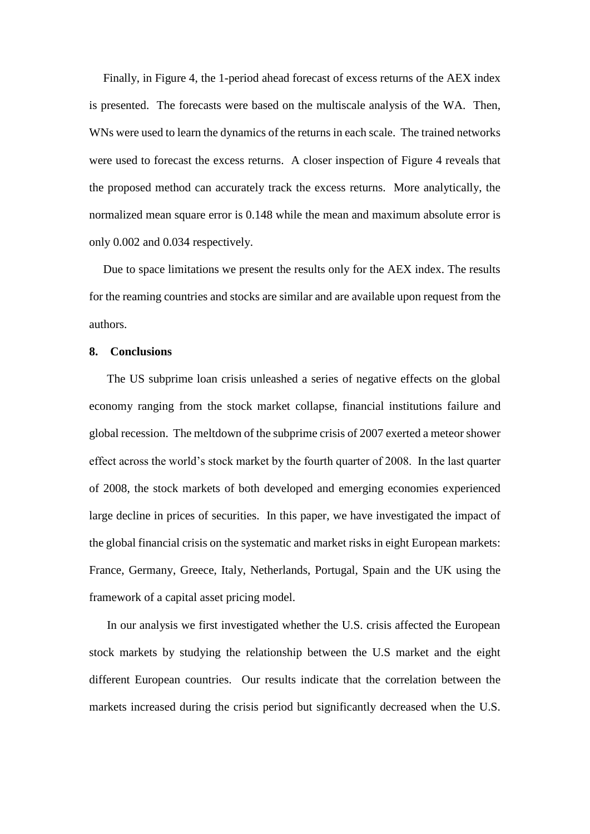Finally, in Figure 4, the 1-period ahead forecast of excess returns of the AEX index is presented. The forecasts were based on the multiscale analysis of the WA. Then, WNs were used to learn the dynamics of the returns in each scale. The trained networks were used to forecast the excess returns. A closer inspection of Figure 4 reveals that the proposed method can accurately track the excess returns. More analytically, the normalized mean square error is 0.148 while the mean and maximum absolute error is only 0.002 and 0.034 respectively.

Due to space limitations we present the results only for the AEX index. The results for the reaming countries and stocks are similar and are available upon request from the authors.

#### **8. Conclusions**

The US subprime loan crisis unleashed a series of negative effects on the global economy ranging from the stock market collapse, financial institutions failure and global recession. The meltdown of the subprime crisis of 2007 exerted a meteor shower effect across the world's stock market by the fourth quarter of 2008. In the last quarter of 2008, the stock markets of both developed and emerging economies experienced large decline in prices of securities. In this paper, we have investigated the impact of the global financial crisis on the systematic and market risks in eight European markets: France, Germany, Greece, Italy, Netherlands, Portugal, Spain and the UK using the framework of a capital asset pricing model.

In our analysis we first investigated whether the U.S. crisis affected the European stock markets by studying the relationship between the U.S market and the eight different European countries. Our results indicate that the correlation between the markets increased during the crisis period but significantly decreased when the U.S.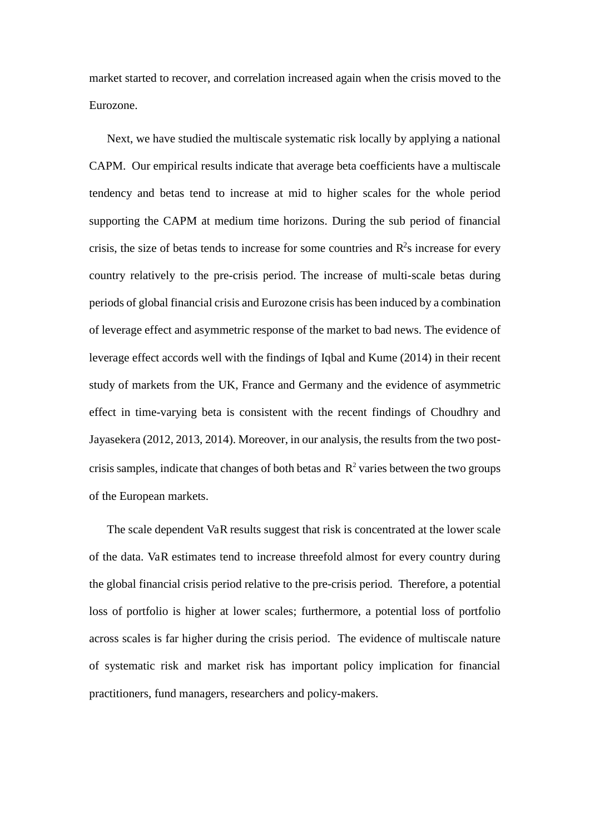market started to recover, and correlation increased again when the crisis moved to the Eurozone.

Next, we have studied the multiscale systematic risk locally by applying a national CAPM. Our empirical results indicate that average beta coefficients have a multiscale tendency and betas tend to increase at mid to higher scales for the whole period supporting the CAPM at medium time horizons. During the sub period of financial crisis, the size of betas tends to increase for some countries and  $R^2$ s increase for every country relatively to the pre-crisis period. The increase of multi-scale betas during periods of global financial crisis and Eurozone crisis has been induced by a combination of leverage effect and asymmetric response of the market to bad news. The evidence of leverage effect accords well with the findings of Iqbal and Kume (2014) in their recent study of markets from the UK, France and Germany and the evidence of asymmetric effect in time-varying beta is consistent with the recent findings of Choudhry and Jayasekera (2012, 2013, 2014). Moreover, in our analysis, the results from the two postcrisis samples, indicate that changes of both betas and  $R^2$  varies between the two groups of the European markets.

The scale dependent VaR results suggest that risk is concentrated at the lower scale of the data. VaR estimates tend to increase threefold almost for every country during the global financial crisis period relative to the pre-crisis period. Therefore, a potential loss of portfolio is higher at lower scales; furthermore, a potential loss of portfolio across scales is far higher during the crisis period. The evidence of multiscale nature of systematic risk and market risk has important policy implication for financial practitioners, fund managers, researchers and policy-makers.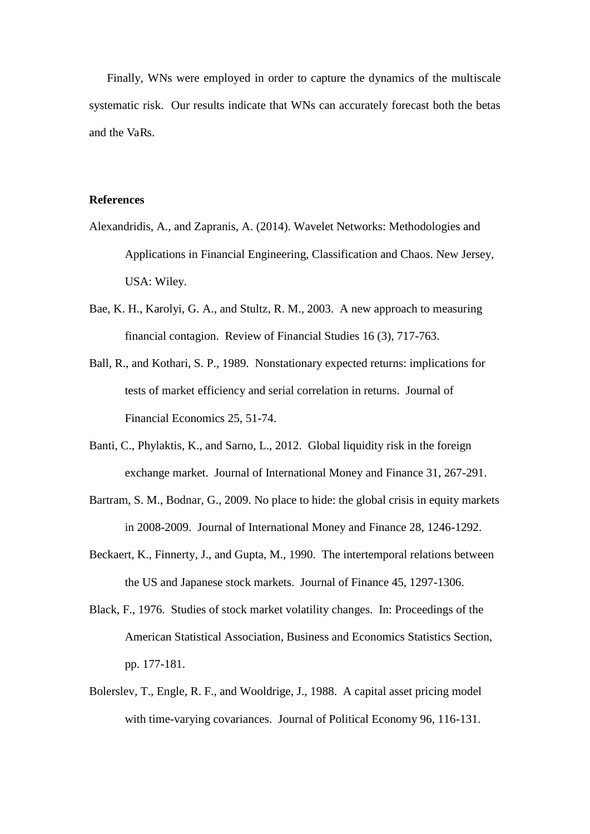Finally, WNs were employed in order to capture the dynamics of the multiscale systematic risk. Our results indicate that WNs can accurately forecast both the betas and the VaRs.

#### **References**

- Alexandridis, A., and Zapranis, A. (2014). Wavelet Networks: Methodologies and Applications in Financial Engineering, Classification and Chaos. New Jersey, USA: Wiley.
- Bae, K. H., Karolyi, G. A., and Stultz, R. M., 2003. A new approach to measuring financial contagion. Review of Financial Studies 16 (3), 717-763.
- Ball, R., and Kothari, S. P., 1989. Nonstationary expected returns: implications for tests of market efficiency and serial correlation in returns. Journal of Financial Economics 25, 51-74.
- Banti, C., Phylaktis, K., and Sarno, L., 2012. Global liquidity risk in the foreign exchange market. Journal of International Money and Finance 31, 267-291.
- Bartram, S. M., Bodnar, G., 2009. No place to hide: the global crisis in equity markets in 2008-2009. Journal of International Money and Finance 28, 1246-1292.
- Beckaert, K., Finnerty, J., and Gupta, M., 1990. The intertemporal relations between the US and Japanese stock markets. Journal of Finance 45, 1297-1306.
- Black, F., 1976. Studies of stock market volatility changes. In: Proceedings of the American Statistical Association, Business and Economics Statistics Section, pp. 177-181.
- Bolerslev, T., Engle, R. F., and Wooldrige, J., 1988. A capital asset pricing model with time-varying covariances. Journal of Political Economy 96, 116-131.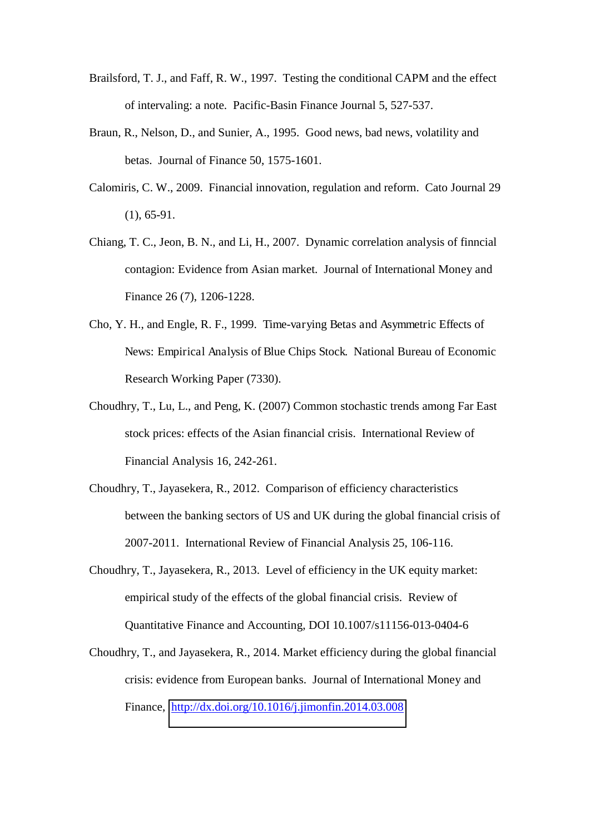- Brailsford, T. J., and Faff, R. W., 1997. Testing the conditional CAPM and the effect of intervaling: a note. Pacific-Basin Finance Journal 5, 527-537.
- Braun, R., Nelson, D., and Sunier, A., 1995. Good news, bad news, volatility and betas. Journal of Finance 50, 1575-1601.
- Calomiris, C. W., 2009. Financial innovation, regulation and reform. Cato Journal 29 (1), 65-91.
- Chiang, T. C., Jeon, B. N., and Li, H., 2007. Dynamic correlation analysis of finncial contagion: Evidence from Asian market. Journal of International Money and Finance 26 (7), 1206-1228.
- Cho, Y. H., and Engle, R. F., 1999. Time-varying Betas and Asymmetric Effects of News: Empirical Analysis of Blue Chips Stock. National Bureau of Economic Research Working Paper (7330).
- Choudhry, T., Lu, L., and Peng, K. (2007) Common stochastic trends among Far East stock prices: effects of the Asian financial crisis. International Review of Financial Analysis 16, 242-261.
- Choudhry, T., Jayasekera, R., 2012. Comparison of efficiency characteristics between the banking sectors of US and UK during the global financial crisis of 2007-2011. International Review of Financial Analysis 25, 106-116.
- Choudhry, T., Jayasekera, R., 2013. Level of efficiency in the UK equity market: empirical study of the effects of the global financial crisis. Review of Quantitative Finance and Accounting, DOI 10.1007/s11156-013-0404-6
- Choudhry, T., and Jayasekera, R., 2014. Market efficiency during the global financial crisis: evidence from European banks. Journal of International Money and Finance, <http://dx.doi.org/10.1016/j.jimonfin.2014.03.008>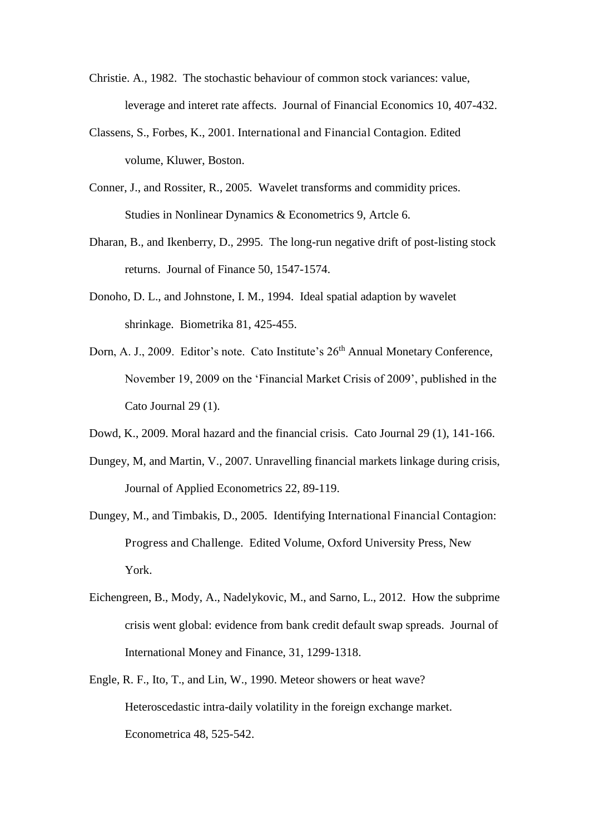- Christie. A., 1982. The stochastic behaviour of common stock variances: value, leverage and interet rate affects. Journal of Financial Economics 10, 407-432.
- Classens, S., Forbes, K., 2001. International and Financial Contagion. Edited volume, Kluwer, Boston.
- Conner, J., and Rossiter, R., 2005. Wavelet transforms and commidity prices. Studies in Nonlinear Dynamics & Econometrics 9, Artcle 6.
- Dharan, B., and Ikenberry, D., 2995. The long-run negative drift of post-listing stock returns. Journal of Finance 50, 1547-1574.
- Donoho, D. L., and Johnstone, I. M., 1994. Ideal spatial adaption by wavelet shrinkage. Biometrika 81, 425-455.
- Dorn, A. J., 2009. Editor's note. Cato Institute's 26<sup>th</sup> Annual Monetary Conference, November 19, 2009 on the 'Financial Market Crisis of 2009', published in the Cato Journal 29 (1).
- Dowd, K., 2009. Moral hazard and the financial crisis. Cato Journal 29 (1), 141-166.
- Dungey, M, and Martin, V., 2007. Unravelling financial markets linkage during crisis, Journal of Applied Econometrics 22, 89-119.
- Dungey, M., and Timbakis, D., 2005. Identifying International Financial Contagion: Progress and Challenge. Edited Volume, Oxford University Press, New York.
- Eichengreen, B., Mody, A., Nadelykovic, M., and Sarno, L., 2012. How the subprime crisis went global: evidence from bank credit default swap spreads. Journal of International Money and Finance, 31, 1299-1318.
- Engle, R. F., Ito, T., and Lin, W., 1990. Meteor showers or heat wave? Heteroscedastic intra-daily volatility in the foreign exchange market. Econometrica 48, 525-542.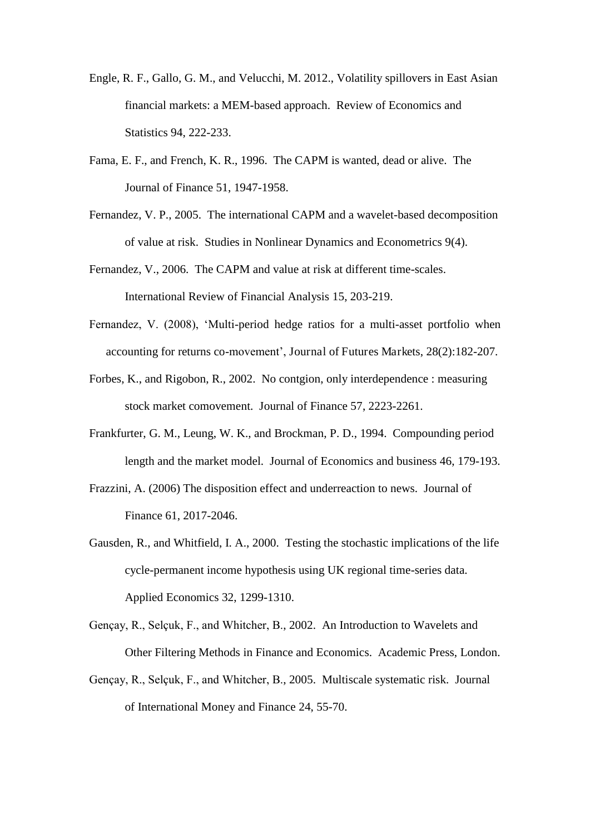- Engle, R. F., Gallo, G. M., and Velucchi, M. 2012., Volatility spillovers in East Asian financial markets: a MEM-based approach. Review of Economics and Statistics 94, 222-233.
- Fama, E. F., and French, K. R., 1996. The CAPM is wanted, dead or alive. The Journal of Finance 51, 1947-1958.
- Fernandez, V. P., 2005. The international CAPM and a wavelet-based decomposition of value at risk. Studies in Nonlinear Dynamics and Econometrics 9(4).
- Fernandez, V., 2006. The CAPM and value at risk at different time-scales. International Review of Financial Analysis 15, 203-219.
- Fernandez, V. (2008), 'Multi-period hedge ratios for a multi-asset portfolio when accounting for returns co-movement', Journal of Futures Markets, 28(2):182-207.
- Forbes, K., and Rigobon, R., 2002. No contgion, only interdependence : measuring stock market comovement. Journal of Finance 57, 2223-2261.
- Frankfurter, G. M., Leung, W. K., and Brockman, P. D., 1994. Compounding period length and the market model. Journal of Economics and business 46, 179-193.
- Frazzini, A. (2006) The disposition effect and underreaction to news. Journal of Finance 61, 2017-2046.
- Gausden, R., and Whitfield, I. A., 2000. Testing the stochastic implications of the life cycle-permanent income hypothesis using UK regional time-series data. Applied Economics 32, 1299-1310.
- Gençay, R., Selçuk, F., and Whitcher, B., 2002. An Introduction to Wavelets and Other Filtering Methods in Finance and Economics. Academic Press, London.
- Gençay, R., Selçuk, F., and Whitcher, B., 2005. Multiscale systematic risk. Journal of International Money and Finance 24, 55-70.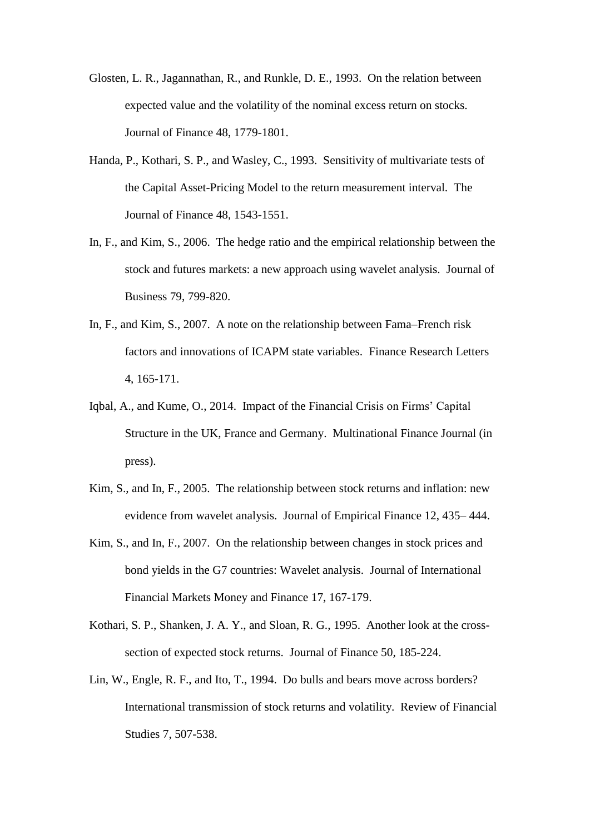- Glosten, L. R., Jagannathan, R., and Runkle, D. E., 1993. On the relation between expected value and the volatility of the nominal excess return on stocks. Journal of Finance 48, 1779-1801.
- Handa, P., Kothari, S. P., and Wasley, C., 1993. Sensitivity of multivariate tests of the Capital Asset-Pricing Model to the return measurement interval. The Journal of Finance 48, 1543-1551.
- In, F., and Kim, S., 2006. The hedge ratio and the empirical relationship between the stock and futures markets: a new approach using wavelet analysis. Journal of Business 79, 799-820.
- In, F., and Kim, S., 2007. A note on the relationship between Fama–French risk factors and innovations of ICAPM state variables. Finance Research Letters 4, 165-171.
- Iqbal, A., and Kume, O., 2014. Impact of the Financial Crisis on Firms' Capital Structure in the UK, France and Germany. Multinational Finance Journal (in press).
- Kim, S., and In, F., 2005. The relationship between stock returns and inflation: new evidence from wavelet analysis. Journal of Empirical Finance 12, 435– 444.
- Kim, S., and In, F., 2007. On the relationship between changes in stock prices and bond yields in the G7 countries: Wavelet analysis. Journal of International Financial Markets Money and Finance 17, 167-179.
- Kothari, S. P., Shanken, J. A. Y., and Sloan, R. G., 1995. Another look at the crosssection of expected stock returns. Journal of Finance 50, 185-224.
- Lin, W., Engle, R. F., and Ito, T., 1994. Do bulls and bears move across borders? International transmission of stock returns and volatility. Review of Financial Studies 7, 507-538.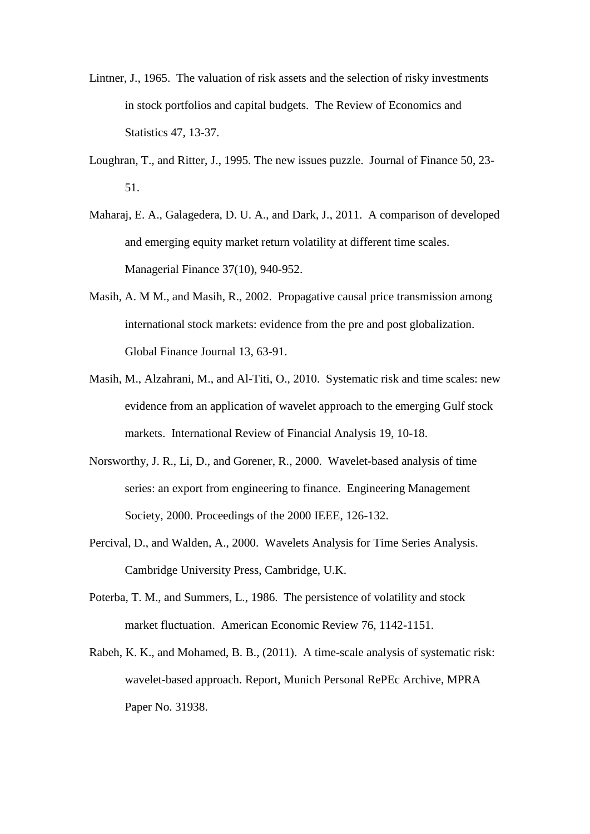- Lintner, J., 1965. The valuation of risk assets and the selection of risky investments in stock portfolios and capital budgets. The Review of Economics and Statistics 47, 13-37.
- Loughran, T., and Ritter, J., 1995. The new issues puzzle. Journal of Finance 50, 23- 51.
- Maharaj, E. A., Galagedera, D. U. A., and Dark, J., 2011. A comparison of developed and emerging equity market return volatility at different time scales. Managerial Finance 37(10), 940-952.
- Masih, A. M M., and Masih, R., 2002. Propagative causal price transmission among international stock markets: evidence from the pre and post globalization. Global Finance Journal 13, 63-91.
- Masih, M., Alzahrani, M., and Al-Titi, O., 2010. Systematic risk and time scales: new evidence from an application of wavelet approach to the emerging Gulf stock markets. International Review of Financial Analysis 19, 10-18.
- Norsworthy, J. R., Li, D., and Gorener, R., 2000. Wavelet-based analysis of time series: an export from engineering to finance. Engineering Management Society, 2000. Proceedings of the 2000 IEEE, 126-132.
- Percival, D., and Walden, A., 2000. Wavelets Analysis for Time Series Analysis. Cambridge University Press, Cambridge, U.K.
- Poterba, T. M., and Summers, L., 1986. The persistence of volatility and stock market fluctuation. American Economic Review 76, 1142-1151.
- Rabeh, K. K., and Mohamed, B. B., (2011). A time-scale analysis of systematic risk: wavelet-based approach. Report, Munich Personal RePEc Archive, MPRA Paper No. 31938.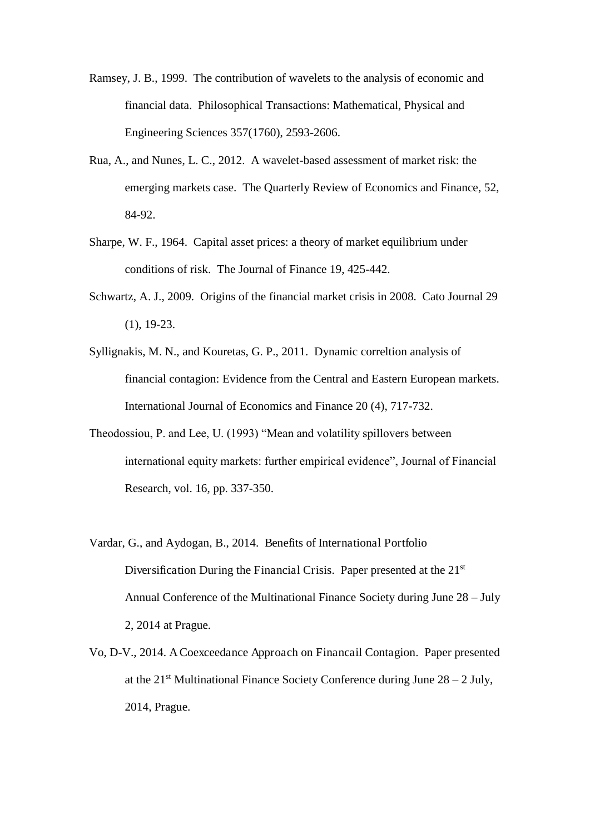- Ramsey, J. B., 1999. The contribution of wavelets to the analysis of economic and financial data. Philosophical Transactions: Mathematical, Physical and Engineering Sciences 357(1760), 2593-2606.
- Rua, A., and Nunes, L. C., 2012. A wavelet-based assessment of market risk: the emerging markets case. The Quarterly Review of Economics and Finance, 52, 84-92.
- Sharpe, W. F., 1964. Capital asset prices: a theory of market equilibrium under conditions of risk. The Journal of Finance 19, 425-442.
- Schwartz, A. J., 2009. Origins of the financial market crisis in 2008. Cato Journal 29 (1), 19-23.
- Syllignakis, M. N., and Kouretas, G. P., 2011. Dynamic correltion analysis of financial contagion: Evidence from the Central and Eastern European markets. International Journal of Economics and Finance 20 (4), 717-732.
- Theodossiou, P. and Lee, U. (1993) "Mean and volatility spillovers between international equity markets: further empirical evidence", Journal of Financial Research, vol. 16, pp. 337-350.
- Vardar, G., and Aydogan, B., 2014. Benefits of International Portfolio Diversification During the Financial Crisis. Paper presented at the 21<sup>st</sup> Annual Conference of the Multinational Finance Society during June 28 – July 2, 2014 at Prague.
- Vo, D-V., 2014. A Coexceedance Approach on Financail Contagion. Paper presented at the  $21<sup>st</sup>$  Multinational Finance Society Conference during June  $28 - 2$  July, 2014, Prague.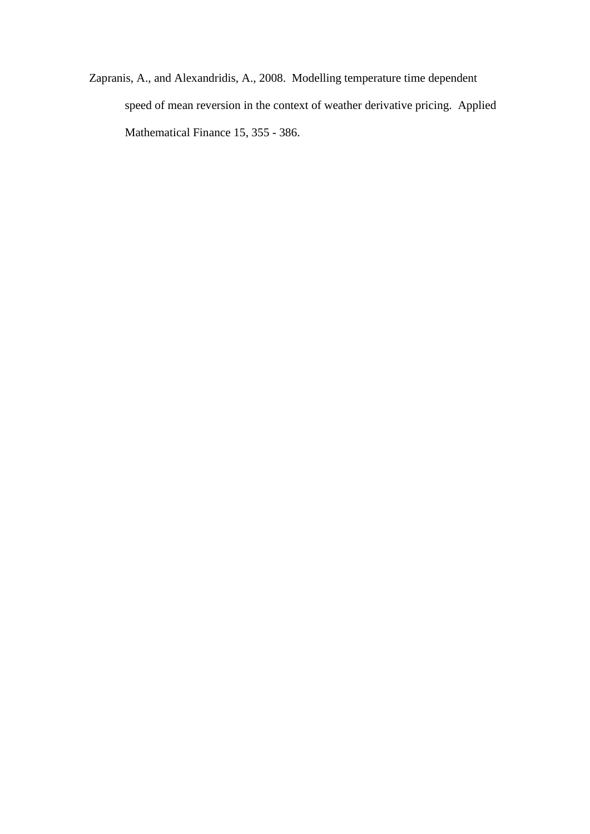Zapranis, A., and Alexandridis, A., 2008. Modelling temperature time dependent speed of mean reversion in the context of weather derivative pricing. Applied Mathematical Finance 15, 355 - 386.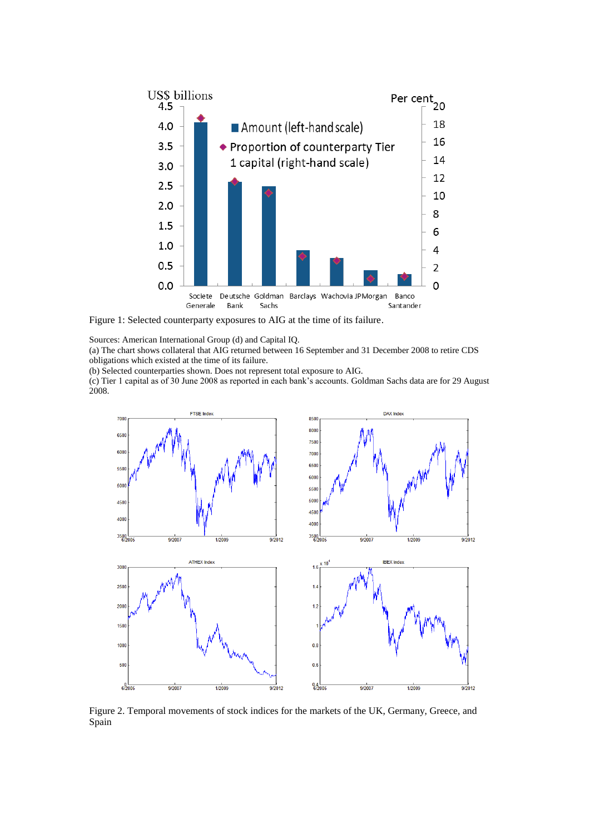

Figure 1: Selected counterparty exposures to AIG at the time of its failure.

Sources: American International Group (d) and Capital IQ.

(a) The chart shows collateral that AIG returned between 16 September and 31 December 2008 to retire CDS obligations which existed at the time of its failure.

(b) Selected counterparties shown. Does not represent total exposure to AIG.

(c) Tier 1 capital as of 30 June 2008 as reported in each bank's accounts. Goldman Sachs data are for 29 August 2008.



Figure 2. Temporal movements of stock indices for the markets of the UK, Germany, Greece, and Spain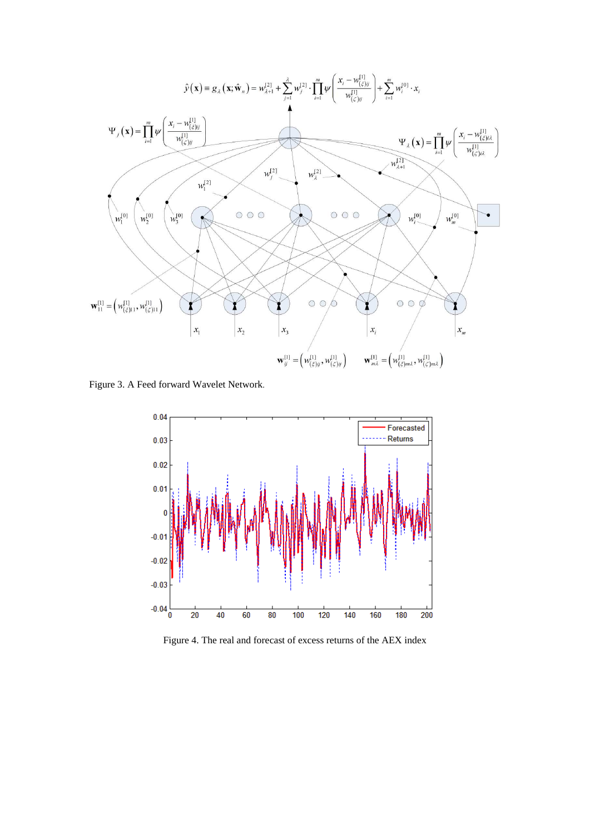<span id="page-42-0"></span>

Figure 3. A Feed forward Wavelet Network.



Figure 4. The real and forecast of excess returns of the AEX index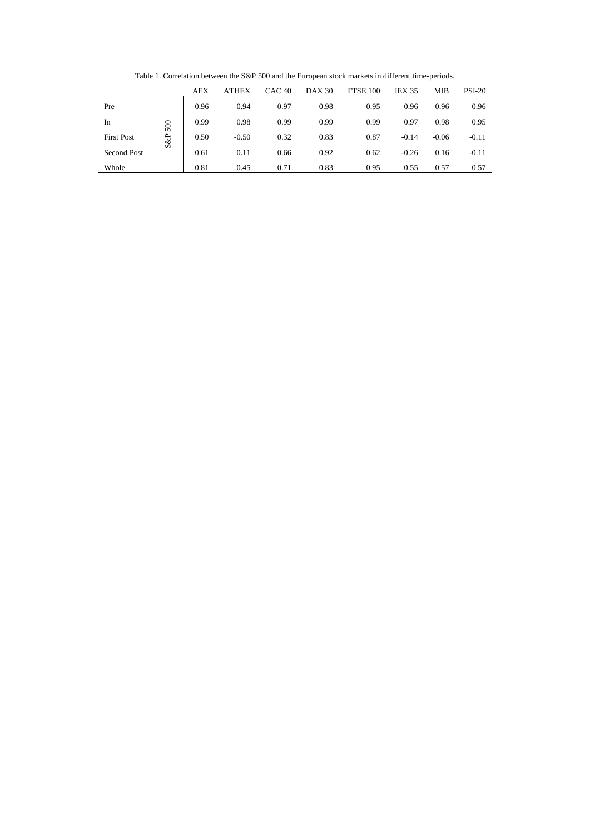Table 1. Correlation between the S&P 500 and the European stock markets in different time-periods.

<span id="page-43-0"></span>

|                   |     | <b>AEX</b> | <b>ATHEX</b> | CAC 40 | <b>DAX 30</b> | <b>FTSE 100</b> | <b>IEX 35</b> | <b>MIB</b> | <b>PSI-20</b> |
|-------------------|-----|------------|--------------|--------|---------------|-----------------|---------------|------------|---------------|
| Pre               |     | 0.96       | 0.94         | 0.97   | 0.98          | 0.95            | 0.96          | 0.96       | 0.96          |
| In                | 500 | 0.99       | 0.98         | 0.99   | 0.99          | 0.99            | 0.97          | 0.98       | 0.95          |
| <b>First Post</b> | S&P | 0.50       | $-0.50$      | 0.32   | 0.83          | 0.87            | $-0.14$       | $-0.06$    | $-0.11$       |
| Second Post       |     | 0.61       | 0.11         | 0.66   | 0.92          | 0.62            | $-0.26$       | 0.16       | $-0.11$       |
| Whole             |     | 0.81       | 0.45         | 0.71   | 0.83          | 0.95            | 0.55          | 0.57       | 0.57          |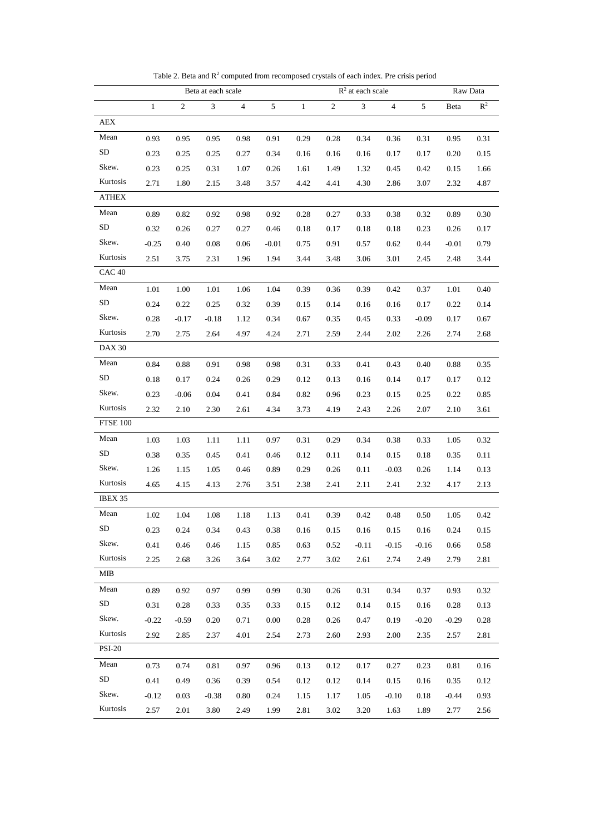<span id="page-44-0"></span>

|                   |              |            | Beta at each scale |      |         |              |      | $R2$ at each scale |         |          |         | Raw Data       |
|-------------------|--------------|------------|--------------------|------|---------|--------------|------|--------------------|---------|----------|---------|----------------|
|                   | $\mathbf{1}$ | $\sqrt{2}$ | $\mathfrak{Z}$     | 4    | 5       | $\mathbf{1}$ | 2    | $\mathfrak{Z}$     | 4       | 5        | Beta    | R <sup>2</sup> |
| AEX               |              |            |                    |      |         |              |      |                    |         |          |         |                |
| Mean              | 0.93         | 0.95       | 0.95               | 0.98 | 0.91    | 0.29         | 0.28 | 0.34               | 0.36    | 0.31     | 0.95    | 0.31           |
| SD                | 0.23         | 0.25       | 0.25               | 0.27 | 0.34    | 0.16         | 0.16 | 0.16               | 0.17    | 0.17     | 0.20    | 0.15           |
| Skew.             | 0.23         | 0.25       | 0.31               | 1.07 | 0.26    | 1.61         | 1.49 | 1.32               | 0.45    | 0.42     | 0.15    | 1.66           |
| Kurtosis          | 2.71         | 1.80       | 2.15               | 3.48 | 3.57    | 4.42         | 4.41 | 4.30               | 2.86    | 3.07     | 2.32    | 4.87           |
| ATHEX             |              |            |                    |      |         |              |      |                    |         |          |         |                |
| Mean              | 0.89         | 0.82       | 0.92               | 0.98 | 0.92    | 0.28         | 0.27 | 0.33               | 0.38    | 0.32     | 0.89    | 0.30           |
| SD                | 0.32         | 0.26       | 0.27               | 0.27 | 0.46    | 0.18         | 0.17 | 0.18               | 0.18    | 0.23     | 0.26    | 0.17           |
| Skew.             | $-0.25$      | 0.40       | 0.08               | 0.06 | $-0.01$ | 0.75         | 0.91 | 0.57               | 0.62    | 0.44     | $-0.01$ | 0.79           |
| Kurtosis          | 2.51         | 3.75       | 2.31               | 1.96 | 1.94    | 3.44         | 3.48 | 3.06               | 3.01    | 2.45     | 2.48    | 3.44           |
| CAC <sub>40</sub> |              |            |                    |      |         |              |      |                    |         |          |         |                |
| Mean              | 1.01         | 1.00       | 1.01               | 1.06 | 1.04    | 0.39         | 0.36 | 0.39               | 0.42    | 0.37     | 1.01    | 0.40           |
| SD                | 0.24         | 0.22       | 0.25               | 0.32 | 0.39    | 0.15         | 0.14 | 0.16               | 0.16    | 0.17     | 0.22    | 0.14           |
| Skew.             | 0.28         | $-0.17$    | $-0.18$            | 1.12 | 0.34    | 0.67         | 0.35 | 0.45               | 0.33    | $-0.09$  | 0.17    | 0.67           |
| Kurtosis          | 2.70         | 2.75       | 2.64               | 4.97 | 4.24    | 2.71         | 2.59 | 2.44               | 2.02    | 2.26     | 2.74    | 2.68           |
| <b>DAX 30</b>     |              |            |                    |      |         |              |      |                    |         |          |         |                |
| Mean              | 0.84         | 0.88       | 0.91               | 0.98 | 0.98    | 0.31         | 0.33 | 0.41               | 0.43    | 0.40     | 0.88    | 0.35           |
| SD                | 0.18         | 0.17       | 0.24               | 0.26 | 0.29    | 0.12         | 0.13 | 0.16               | 0.14    | 0.17     | 0.17    | 0.12           |
| Skew.             | 0.23         | $-0.06$    | 0.04               | 0.41 | 0.84    | 0.82         | 0.96 | 0.23               | 0.15    | 0.25     | 0.22    | 0.85           |
| Kurtosis          | 2.32         | 2.10       | 2.30               | 2.61 | 4.34    | 3.73         | 4.19 | 2.43               | 2.26    | 2.07     | 2.10    | 3.61           |
| <b>FTSE 100</b>   |              |            |                    |      |         |              |      |                    |         |          |         |                |
| Mean              | 1.03         | 1.03       | 1.11               | 1.11 | 0.97    | 0.31         | 0.29 | 0.34               | 0.38    | 0.33     | 1.05    | 0.32           |
| SD                | 0.38         | 0.35       | 0.45               | 0.41 | 0.46    | 0.12         | 0.11 | 0.14               | 0.15    | 0.18     | 0.35    | 0.11           |
| Skew.             | 1.26         | 1.15       | 1.05               | 0.46 | 0.89    | 0.29         | 0.26 | 0.11               | $-0.03$ | 0.26     | 1.14    | 0.13           |
| Kurtosis          | 4.65         | 4.15       | 4.13               | 2.76 | 3.51    | 2.38         | 2.41 | 2.11               | 2.41    | 2.32     | 4.17    | 2.13           |
| IBEX 35           |              |            |                    |      |         |              |      |                    |         |          |         |                |
| Mean              | 1.02         | 1.04       | 1.08               | 1.18 | 1.13    | 0.41         | 0.39 | 0.42               | 0.48    | 0.50     | 1.05    | 0.42           |
| SD                | 0.23         | 0.24       | 0.34               | 0.43 | 0.38    | $0.16\,$     | 0.15 | $0.16\,$           | 0.15    | $0.16\,$ | 0.24    | 0.15           |
| Skew.             | 0.41         | 0.46       | 0.46               | 1.15 | 0.85    | 0.63         | 0.52 | $-0.11$            | $-0.15$ | $-0.16$  | 0.66    | 0.58           |
| Kurtosis          | 2.25         | 2.68       | 3.26               | 3.64 | 3.02    | 2.77         | 3.02 | 2.61               | 2.74    | 2.49     | 2.79    | 2.81           |
| МIВ               |              |            |                    |      |         |              |      |                    |         |          |         |                |
| Mean              | 0.89         | 0.92       | 0.97               | 0.99 | 0.99    | 0.30         | 0.26 | 0.31               | 0.34    | 0.37     | 0.93    | 0.32           |
| SD                | 0.31         | 0.28       | 0.33               | 0.35 | 0.33    | 0.15         | 0.12 | 0.14               | 0.15    | 0.16     | 0.28    | 0.13           |
| Skew.             | $-0.22$      | $-0.59$    | 0.20               | 0.71 | 0.00    | 0.28         | 0.26 | 0.47               | 0.19    | $-0.20$  | $-0.29$ | 0.28           |
| Kurtosis          | 2.92         | 2.85       | 2.37               | 4.01 | 2.54    | 2.73         | 2.60 | 2.93               | 2.00    | 2.35     | 2.57    | 2.81           |
| <b>PSI-20</b>     |              |            |                    |      |         |              |      |                    |         |          |         |                |
| Mean              | 0.73         | 0.74       | 0.81               | 0.97 | 0.96    | 0.13         | 0.12 | 0.17               | 0.27    | 0.23     | 0.81    | 0.16           |
| SD                | 0.41         | 0.49       | 0.36               | 0.39 | 0.54    | 0.12         | 0.12 | 0.14               | 0.15    | 0.16     | 0.35    | 0.12           |
| Skew.             | $-0.12$      | 0.03       | $-0.38$            | 0.80 | 0.24    | 1.15         | 1.17 | 1.05               | $-0.10$ | 0.18     | $-0.44$ | 0.93           |
| Kurtosis          | 2.57         | 2.01       | 3.80               | 2.49 | 1.99    | 2.81         | 3.02 | 3.20               | 1.63    | 1.89     | 2.77    | 2.56           |

Table 2. Beta and  $R^2$  computed from recomposed crystals of each index. Pre crisis period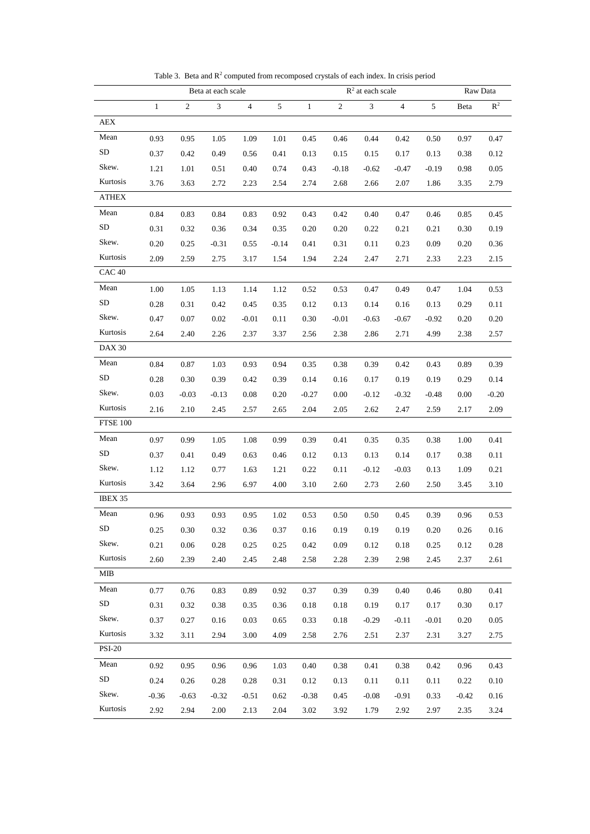<span id="page-45-0"></span>

|                   |              |            | Beta at each scale |                |               |              |            | $\mathbb{R}^2$ at each scale |                |         |         | Raw Data       |
|-------------------|--------------|------------|--------------------|----------------|---------------|--------------|------------|------------------------------|----------------|---------|---------|----------------|
|                   | $\mathbf{1}$ | $\sqrt{2}$ | $\mathfrak{Z}$     | $\overline{4}$ | $\mathfrak s$ | $\mathbf{1}$ | $\sqrt{2}$ | $\mathfrak 3$                | $\overline{4}$ | 5       | Beta    | $\mathbb{R}^2$ |
| AEX               |              |            |                    |                |               |              |            |                              |                |         |         |                |
| Mean              | 0.93         | 0.95       | 1.05               | 1.09           | 1.01          | 0.45         | 0.46       | 0.44                         | 0.42           | 0.50    | 0.97    | 0.47           |
| ${\rm SD}$        | 0.37         | 0.42       | 0.49               | 0.56           | 0.41          | 0.13         | 0.15       | 0.15                         | 0.17           | 0.13    | 0.38    | 0.12           |
| Skew.             | 1.21         | 1.01       | 0.51               | 0.40           | 0.74          | 0.43         | $-0.18$    | $-0.62$                      | $-0.47$        | $-0.19$ | 0.98    | $0.05\,$       |
| Kurtosis          | 3.76         | 3.63       | 2.72               | 2.23           | 2.54          | 2.74         | 2.68       | 2.66                         | 2.07           | 1.86    | 3.35    | 2.79           |
| <b>ATHEX</b>      |              |            |                    |                |               |              |            |                              |                |         |         |                |
| Mean              | 0.84         | 0.83       | 0.84               | 0.83           | 0.92          | 0.43         | 0.42       | 0.40                         | 0.47           | 0.46    | 0.85    | 0.45           |
| SD                | 0.31         | $0.32\,$   | 0.36               | 0.34           | 0.35          | 0.20         | 0.20       | 0.22                         | 0.21           | 0.21    | 0.30    | 0.19           |
| Skew.             | 0.20         | 0.25       | $-0.31$            | 0.55           | $-0.14$       | 0.41         | 0.31       | 0.11                         | 0.23           | 0.09    | 0.20    | 0.36           |
| Kurtosis          | 2.09         | 2.59       | 2.75               | 3.17           | 1.54          | 1.94         | 2.24       | 2.47                         | 2.71           | 2.33    | 2.23    | 2.15           |
| CAC <sub>40</sub> |              |            |                    |                |               |              |            |                              |                |         |         |                |
| Mean              | 1.00         | 1.05       | 1.13               | 1.14           | 1.12          | 0.52         | 0.53       | 0.47                         | 0.49           | 0.47    | 1.04    | 0.53           |
| SD                | 0.28         | 0.31       | 0.42               | 0.45           | 0.35          | 0.12         | 0.13       | 0.14                         | 0.16           | 0.13    | 0.29    | 0.11           |
| Skew.             | 0.47         | 0.07       | 0.02               | $-0.01$        | 0.11          | 0.30         | $-0.01$    | $-0.63$                      | $-0.67$        | $-0.92$ | 0.20    | 0.20           |
| Kurtosis          | 2.64         | 2.40       | 2.26               | 2.37           | 3.37          | 2.56         | 2.38       | 2.86                         | 2.71           | 4.99    | 2.38    | 2.57           |
| <b>DAX 30</b>     |              |            |                    |                |               |              |            |                              |                |         |         |                |
| Mean              | 0.84         | 0.87       | 1.03               | 0.93           | 0.94          | 0.35         | 0.38       | 0.39                         | 0.42           | 0.43    | 0.89    | 0.39           |
| ${\rm SD}$        | 0.28         | 0.30       | 0.39               | 0.42           | 0.39          | 0.14         | 0.16       | 0.17                         | 0.19           | 0.19    | 0.29    | 0.14           |
| Skew.             | 0.03         | $-0.03$    | $-0.13$            | 0.08           | 0.20          | $-0.27$      | 0.00       | $-0.12$                      | $-0.32$        | $-0.48$ | 0.00    | $-0.20$        |
| Kurtosis          | 2.16         | 2.10       | 2.45               | 2.57           | 2.65          | 2.04         | 2.05       | 2.62                         | 2.47           | 2.59    | 2.17    | 2.09           |
| <b>FTSE 100</b>   |              |            |                    |                |               |              |            |                              |                |         |         |                |
| Mean              | 0.97         | 0.99       | 1.05               | 1.08           | 0.99          | 0.39         | 0.41       | 0.35                         | 0.35           | 0.38    | 1.00    | 0.41           |
| SD                | 0.37         | 0.41       | 0.49               | 0.63           | 0.46          | 0.12         | 0.13       | 0.13                         | 0.14           | 0.17    | 0.38    | 0.11           |
| Skew.             | 1.12         | 1.12       | 0.77               | 1.63           | 1.21          | 0.22         | 0.11       | $-0.12$                      | $-0.03$        | 0.13    | 1.09    | 0.21           |
| Kurtosis          | 3.42         | 3.64       | 2.96               | 6.97           | 4.00          | 3.10         | 2.60       | 2.73                         | 2.60           | 2.50    | 3.45    | 3.10           |
| IBEX 35           |              |            |                    |                |               |              |            |                              |                |         |         |                |
| Mean              | 0.96         | 0.93       | 0.93               | 0.95           | 1.02          | 0.53         | 0.50       | 0.50                         | 0.45           | 0.39    | 0.96    | 0.53           |
| SD                | 0.25         | 0.30       | 0.32               | 0.36           | 0.37          | 0.16         | 0.19       | 0.19                         | 0.19           | 0.20    | 0.26    | 0.16           |
| Skew.             | 0.21         | 0.06       | 0.28               | 0.25           | 0.25          | 0.42         | 0.09       | 0.12                         | 0.18           | 0.25    | 0.12    | 0.28           |
| Kurtosis          | 2.60         | 2.39       | 2.40               | 2.45           | 2.48          | 2.58         | 2.28       | 2.39                         | 2.98           | 2.45    | 2.37    | 2.61           |
| <b>MIB</b>        |              |            |                    |                |               |              |            |                              |                |         |         |                |
| Mean              | 0.77         | 0.76       | 0.83               | 0.89           | 0.92          | 0.37         | 0.39       | 0.39                         | 0.40           | 0.46    | 0.80    | 0.41           |
| <b>SD</b>         | 0.31         | 0.32       | 0.38               | 0.35           | 0.36          | 0.18         | 0.18       | 0.19                         | 0.17           | 0.17    | 0.30    | 0.17           |
| Skew.             | 0.37         | 0.27       | 0.16               | 0.03           | 0.65          | 0.33         | 0.18       | $-0.29$                      | $-0.11$        | $-0.01$ | 0.20    | 0.05           |
| Kurtosis          | 3.32         | 3.11       | 2.94               | 3.00           | 4.09          | 2.58         | 2.76       | 2.51                         | 2.37           | 2.31    | 3.27    | 2.75           |
| <b>PSI-20</b>     |              |            |                    |                |               |              |            |                              |                |         |         |                |
| Mean              | 0.92         | 0.95       | 0.96               | 0.96           | 1.03          | 0.40         | 0.38       | 0.41                         | 0.38           | 0.42    | 0.96    | 0.43           |
| ${\rm SD}$        | 0.24         | 0.26       | 0.28               | 0.28           | 0.31          | 0.12         | 0.13       | 0.11                         | 0.11           | 0.11    | 0.22    | 0.10           |
| Skew.             | $-0.36$      | $-0.63$    | $-0.32$            | $-0.51$        | 0.62          | $-0.38$      | 0.45       | $-0.08$                      | $-0.91$        | 0.33    | $-0.42$ | 0.16           |
| Kurtosis          | 2.92         | 2.94       | 2.00               | 2.13           | 2.04          | 3.02         | 3.92       | 1.79                         | 2.92           | 2.97    | 2.35    | 3.24           |

Table 3. Beta and  $\mathbb{R}^2$  computed from recomposed crystals of each index. In crisis period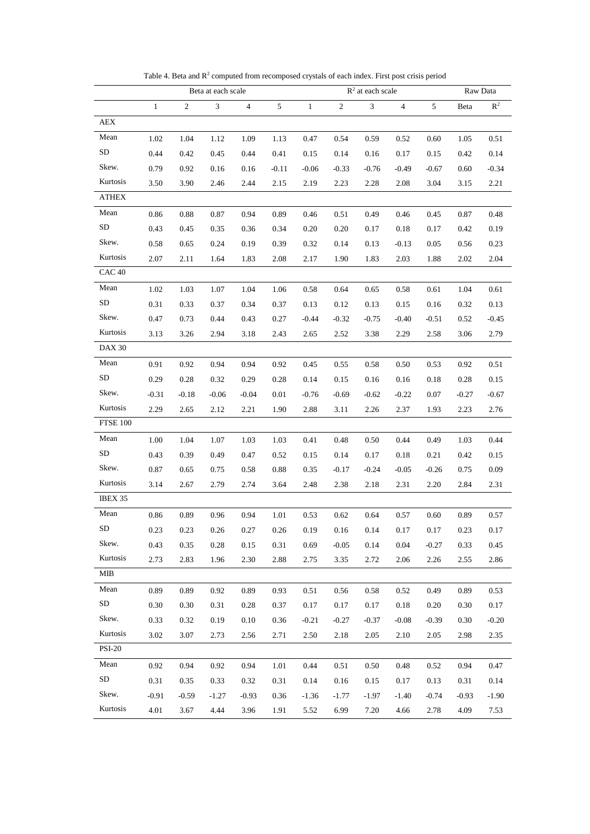<span id="page-46-0"></span>

|                   |              |                | Beta at each scale |         |                |              |                | $R2$ at each scale |                |         |         | Raw Data       |
|-------------------|--------------|----------------|--------------------|---------|----------------|--------------|----------------|--------------------|----------------|---------|---------|----------------|
|                   | $\mathbf{1}$ | $\overline{c}$ | $\mathfrak{Z}$     | 4       | 5 <sup>5</sup> | $\mathbf{1}$ | $\overline{2}$ | $\mathfrak{Z}$     | $\overline{4}$ | 5       | Beta    | $\mathbb{R}^2$ |
| AEX               |              |                |                    |         |                |              |                |                    |                |         |         |                |
| Mean              | 1.02         | 1.04           | 1.12               | 1.09    | 1.13           | 0.47         | 0.54           | 0.59               | 0.52           | 0.60    | 1.05    | 0.51           |
| SD                | 0.44         | 0.42           | 0.45               | 0.44    | 0.41           | 0.15         | 0.14           | 0.16               | 0.17           | 0.15    | 0.42    | 0.14           |
| Skew.             | 0.79         | 0.92           | 0.16               | 0.16    | $-0.11$        | $-0.06$      | $-0.33$        | $-0.76$            | $-0.49$        | $-0.67$ | 0.60    | $-0.34$        |
| Kurtosis          | 3.50         | 3.90           | 2.46               | 2.44    | 2.15           | 2.19         | 2.23           | 2.28               | 2.08           | 3.04    | 3.15    | 2.21           |
| ATHEX             |              |                |                    |         |                |              |                |                    |                |         |         |                |
| Mean              | 0.86         | 0.88           | 0.87               | 0.94    | 0.89           | 0.46         | 0.51           | 0.49               | 0.46           | 0.45    | 0.87    | 0.48           |
| SD                | 0.43         | 0.45           | 0.35               | 0.36    | 0.34           | 0.20         | 0.20           | 0.17               | 0.18           | 0.17    | 0.42    | 0.19           |
| Skew.             | 0.58         | 0.65           | 0.24               | 0.19    | 0.39           | 0.32         | 0.14           | 0.13               | $-0.13$        | 0.05    | 0.56    | 0.23           |
| Kurtosis          | 2.07         | 2.11           | 1.64               | 1.83    | 2.08           | 2.17         | 1.90           | 1.83               | 2.03           | 1.88    | 2.02    | 2.04           |
| CAC <sub>40</sub> |              |                |                    |         |                |              |                |                    |                |         |         |                |
| Mean              | 1.02         | 1.03           | 1.07               | 1.04    | 1.06           | 0.58         | 0.64           | 0.65               | 0.58           | 0.61    | 1.04    | 0.61           |
| SD                | 0.31         | 0.33           | 0.37               | 0.34    | 0.37           | 0.13         | 0.12           | 0.13               | 0.15           | 0.16    | 0.32    | 0.13           |
| Skew.             | 0.47         | 0.73           | 0.44               | 0.43    | 0.27           | $-0.44$      | $-0.32$        | $-0.75$            | $-0.40$        | $-0.51$ | 0.52    | $-0.45$        |
| Kurtosis          | 3.13         | 3.26           | 2.94               | 3.18    | 2.43           | 2.65         | 2.52           | 3.38               | 2.29           | 2.58    | 3.06    | 2.79           |
| <b>DAX 30</b>     |              |                |                    |         |                |              |                |                    |                |         |         |                |
| Mean              | 0.91         | 0.92           | 0.94               | 0.94    | 0.92           | 0.45         | 0.55           | 0.58               | 0.50           | 0.53    | 0.92    | 0.51           |
| SD                | 0.29         | 0.28           | 0.32               | 0.29    | 0.28           | 0.14         | 0.15           | 0.16               | 0.16           | 0.18    | 0.28    | 0.15           |
| Skew.             | $-0.31$      | $-0.18$        | $-0.06$            | $-0.04$ | 0.01           | $-0.76$      | $-0.69$        | $-0.62$            | $-0.22$        | 0.07    | $-0.27$ | $-0.67$        |
| Kurtosis          | 2.29         | 2.65           | 2.12               | 2.21    | 1.90           | 2.88         | 3.11           | 2.26               | 2.37           | 1.93    | 2.23    | 2.76           |
| FTSE 100          |              |                |                    |         |                |              |                |                    |                |         |         |                |
| Mean              | 1.00         | 1.04           | 1.07               | 1.03    | 1.03           | 0.41         | 0.48           | 0.50               | 0.44           | 0.49    | 1.03    | 0.44           |
| SD                | 0.43         | 0.39           | 0.49               | 0.47    | 0.52           | 0.15         | 0.14           | 0.17               | 0.18           | 0.21    | 0.42    | 0.15           |
| Skew.             | 0.87         | 0.65           | 0.75               | 0.58    | 0.88           | 0.35         | $-0.17$        | $-0.24$            | $-0.05$        | $-0.26$ | 0.75    | 0.09           |
| Kurtosis          | 3.14         | 2.67           | 2.79               | 2.74    | 3.64           | 2.48         | 2.38           | 2.18               | 2.31           | 2.20    | 2.84    | 2.31           |
| IBEX 35           |              |                |                    |         |                |              |                |                    |                |         |         |                |
| Mean              | 0.86         | 0.89           | 0.96               | 0.94    | 1.01           | 0.53         | 0.62           | 0.64               | 0.57           | 0.60    | 0.89    | 0.57           |
| ${\rm SD}$        | 0.23         | 0.23           | 0.26               | 0.27    | 0.26           | 0.19         | 0.16           | 0.14               | 0.17           | 0.17    | 0.23    | 0.17           |
| Skew.             | 0.43         | 0.35           | 0.28               | 0.15    | 0.31           | 0.69         | $-0.05$        | 0.14               | 0.04           | $-0.27$ | 0.33    | 0.45           |
| Kurtosis          | 2.73         | 2.83           | 1.96               | 2.30    | 2.88           | 2.75         | 3.35           | 2.72               | 2.06           | 2.26    | 2.55    | 2.86           |
| MIB               |              |                |                    |         |                |              |                |                    |                |         |         |                |
| Mean              | 0.89         | 0.89           | 0.92               | 0.89    | 0.93           | 0.51         | 0.56           | 0.58               | 0.52           | 0.49    | 0.89    | 0.53           |
| ${\rm SD}$        | 0.30         | 0.30           | 0.31               | 0.28    | 0.37           | 0.17         | 0.17           | 0.17               | 0.18           | 0.20    | 0.30    | 0.17           |
| Skew.             | 0.33         | 0.32           | 0.19               | 0.10    | 0.36           | $-0.21$      | $-0.27$        | $-0.37$            | $-0.08$        | $-0.39$ | 0.30    | $-0.20$        |
| Kurtosis          | 3.02         | 3.07           | 2.73               | 2.56    | 2.71           | 2.50         | 2.18           | 2.05               | 2.10           | 2.05    | 2.98    | 2.35           |
| <b>PSI-20</b>     |              |                |                    |         |                |              |                |                    |                |         |         |                |
| Mean              | 0.92         | 0.94           | 0.92               | 0.94    | 1.01           | 0.44         | 0.51           | 0.50               | 0.48           | 0.52    | 0.94    | 0.47           |
| ${\rm SD}$        | 0.31         | 0.35           | 0.33               | 0.32    | 0.31           | 0.14         | 0.16           | 0.15               | 0.17           | 0.13    | 0.31    | 0.14           |
| Skew.             | $-0.91$      | $-0.59$        | $-1.27$            | $-0.93$ | 0.36           | $-1.36$      | $-1.77$        | $-1.97$            | $-1.40$        | $-0.74$ | $-0.93$ | $-1.90$        |
| Kurtosis          | 4.01         | 3.67           | 4.44               | 3.96    | 1.91           | 5.52         | 6.99           | 7.20               | 4.66           | 2.78    | 4.09    | 7.53           |

Table 4. Beta and  $R^2$  computed from recomposed crystals of each index. First post crisis period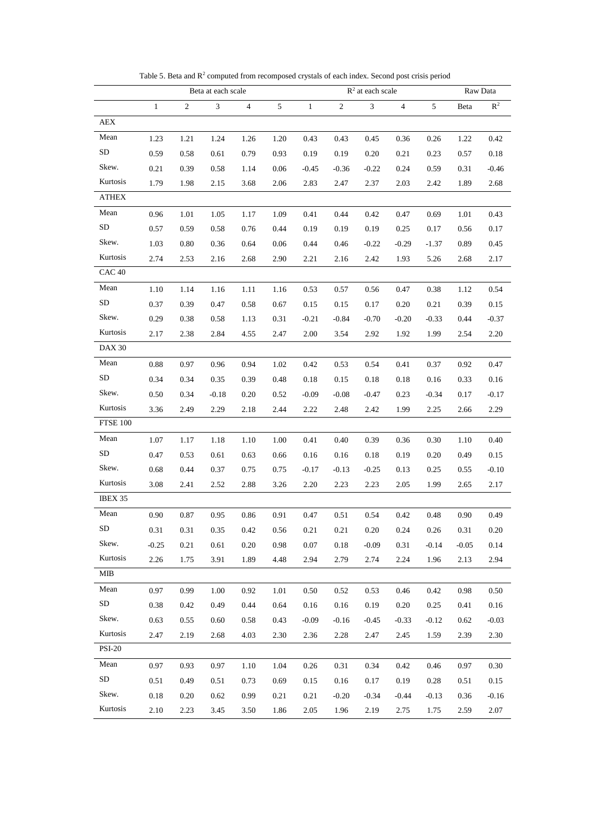<span id="page-47-1"></span><span id="page-47-0"></span>

|                   |              |                | Beta at each scale |                |                |              |            | $R2$ at each scale |            |         |         | Raw Data       |
|-------------------|--------------|----------------|--------------------|----------------|----------------|--------------|------------|--------------------|------------|---------|---------|----------------|
|                   | $\mathbf{1}$ | $\overline{c}$ | $\mathfrak{Z}$     | $\overline{4}$ | $\mathfrak{S}$ | $\mathbf{1}$ | $\sqrt{2}$ | $\overline{3}$     | $\sqrt{4}$ | 5       | Beta    | $\mathbb{R}^2$ |
| AEX               |              |                |                    |                |                |              |            |                    |            |         |         |                |
| Mean              | 1.23         | 1.21           | 1.24               | 1.26           | 1.20           | 0.43         | 0.43       | 0.45               | 0.36       | 0.26    | 1.22    | 0.42           |
| SD                | 0.59         | 0.58           | 0.61               | 0.79           | 0.93           | 0.19         | 0.19       | 0.20               | 0.21       | 0.23    | 0.57    | 0.18           |
| Skew.             | 0.21         | 0.39           | 0.58               | 1.14           | 0.06           | $-0.45$      | $-0.36$    | $-0.22$            | 0.24       | 0.59    | 0.31    | $-0.46$        |
| Kurtosis          | 1.79         | 1.98           | 2.15               | 3.68           | 2.06           | 2.83         | 2.47       | 2.37               | 2.03       | 2.42    | 1.89    | 2.68           |
| <b>ATHEX</b>      |              |                |                    |                |                |              |            |                    |            |         |         |                |
| Mean              | 0.96         | 1.01           | 1.05               | 1.17           | 1.09           | 0.41         | 0.44       | 0.42               | 0.47       | 0.69    | 1.01    | 0.43           |
| SD <sub></sub>    | 0.57         | 0.59           | 0.58               | 0.76           | 0.44           | 0.19         | 0.19       | 0.19               | 0.25       | 0.17    | 0.56    | 0.17           |
| Skew.             | 1.03         | 0.80           | 0.36               | 0.64           | 0.06           | 0.44         | 0.46       | $-0.22$            | $-0.29$    | $-1.37$ | 0.89    | 0.45           |
| Kurtosis          | 2.74         | 2.53           | 2.16               | 2.68           | 2.90           | 2.21         | 2.16       | 2.42               | 1.93       | 5.26    | 2.68    | 2.17           |
| CAC <sub>40</sub> |              |                |                    |                |                |              |            |                    |            |         |         |                |
| Mean              | 1.10         | 1.14           | 1.16               | 1.11           | 1.16           | 0.53         | 0.57       | 0.56               | 0.47       | 0.38    | 1.12    | 0.54           |
| SD                | 0.37         | 0.39           | 0.47               | 0.58           | 0.67           | 0.15         | 0.15       | 0.17               | 0.20       | 0.21    | 0.39    | 0.15           |
| Skew.             | 0.29         | 0.38           | 0.58               | 1.13           | 0.31           | $-0.21$      | $-0.84$    | $-0.70$            | $-0.20$    | $-0.33$ | 0.44    | $-0.37$        |
| Kurtosis          | 2.17         | 2.38           | 2.84               | 4.55           | 2.47           | 2.00         | 3.54       | 2.92               | 1.92       | 1.99    | 2.54    | 2.20           |
| DAX 30            |              |                |                    |                |                |              |            |                    |            |         |         |                |
| Mean              | 0.88         | 0.97           | 0.96               | 0.94           | 1.02           | 0.42         | 0.53       | 0.54               | 0.41       | 0.37    | 0.92    | 0.47           |
| SD                | 0.34         | 0.34           | 0.35               | 0.39           | 0.48           | 0.18         | 0.15       | 0.18               | 0.18       | 0.16    | 0.33    | 0.16           |
| Skew.             | 0.50         | 0.34           | $-0.18$            | 0.20           | 0.52           | $-0.09$      | $-0.08$    | $-0.47$            | 0.23       | $-0.34$ | 0.17    | $-0.17$        |
| Kurtosis          | 3.36         | 2.49           | 2.29               | 2.18           | 2.44           | 2.22         | 2.48       | 2.42               | 1.99       | 2.25    | 2.66    | 2.29           |
| <b>FTSE 100</b>   |              |                |                    |                |                |              |            |                    |            |         |         |                |
| Mean              | 1.07         | 1.17           | 1.18               | 1.10           | 1.00           | 0.41         | 0.40       | 0.39               | 0.36       | 0.30    | 1.10    | 0.40           |
| SD                | 0.47         | 0.53           | 0.61               | 0.63           | 0.66           | 0.16         | 0.16       | 0.18               | 0.19       | 0.20    | 0.49    | 0.15           |
| Skew.             | 0.68         | 0.44           | 0.37               | 0.75           | 0.75           | $-0.17$      | $-0.13$    | $-0.25$            | 0.13       | 0.25    | 0.55    | $-0.10$        |
| Kurtosis          | 3.08         | 2.41           | 2.52               | 2.88           | 3.26           | 2.20         | 2.23       | 2.23               | 2.05       | 1.99    | 2.65    | 2.17           |
| IBEX 35           |              |                |                    |                |                |              |            |                    |            |         |         |                |
| Mean              | 0.90         | 0.87           | 0.95               | 0.86           | 0.91           | 0.47         | 0.51       | 0.54               | 0.42       | 0.48    | 0.90    | 0.49           |
| <b>SD</b>         | $0.31\,$     | 0.31           | 0.35               | 0.42           | 0.56           | 0.21         | 0.21       | 0.20               | 0.24       | 0.26    | 0.31    | 0.20           |
| Skew.             | $-0.25$      | 0.21           | 0.61               | 0.20           | 0.98           | 0.07         | 0.18       | $-0.09$            | 0.31       | $-0.14$ | $-0.05$ | 0.14           |
| Kurtosis          | 2.26         | 1.75           | 3.91               | 1.89           | 4.48           | 2.94         | 2.79       | 2.74               | 2.24       | 1.96    | 2.13    | 2.94           |
| MIB               |              |                |                    |                |                |              |            |                    |            |         |         |                |
| Mean              | 0.97         | 0.99           | 1.00               | 0.92           | 1.01           | 0.50         | 0.52       | 0.53               | 0.46       | 0.42    | 0.98    | 0.50           |
| SD                | 0.38         | 0.42           | 0.49               | 0.44           | 0.64           | 0.16         | 0.16       | 0.19               | 0.20       | 0.25    | 0.41    | 0.16           |
| Skew.             | 0.63         | 0.55           | 0.60               | 0.58           | 0.43           | $-0.09$      | $-0.16$    | $-0.45$            | $-0.33$    | $-0.12$ | 0.62    | $-0.03$        |
| Kurtosis          | 2.47         | 2.19           | 2.68               | 4.03           | 2.30           | 2.36         | 2.28       | 2.47               | 2.45       | 1.59    | 2.39    | 2.30           |
| <b>PSI-20</b>     |              |                |                    |                |                |              |            |                    |            |         |         |                |
| Mean              | 0.97         | 0.93           | 0.97               | 1.10           | 1.04           | 0.26         | 0.31       | 0.34               | 0.42       | 0.46    | 0.97    | 0.30           |
| ${\rm SD}$        | 0.51         | 0.49           | 0.51               | 0.73           | 0.69           | 0.15         | 0.16       | 0.17               | 0.19       | 0.28    | 0.51    | 0.15           |
| Skew.             | 0.18         | 0.20           | 0.62               | 0.99           | 0.21           | 0.21         | $-0.20$    | $-0.34$            | $-0.44$    | $-0.13$ | 0.36    | $-0.16$        |
| Kurtosis          | 2.10         | 2.23           | 3.45               | 3.50           | 1.86           | 2.05         | 1.96       | 2.19               | 2.75       | 1.75    | 2.59    | 2.07           |

Table 5. Beta and  $R^2$  computed from recomposed crystals of each index. Second post crisis period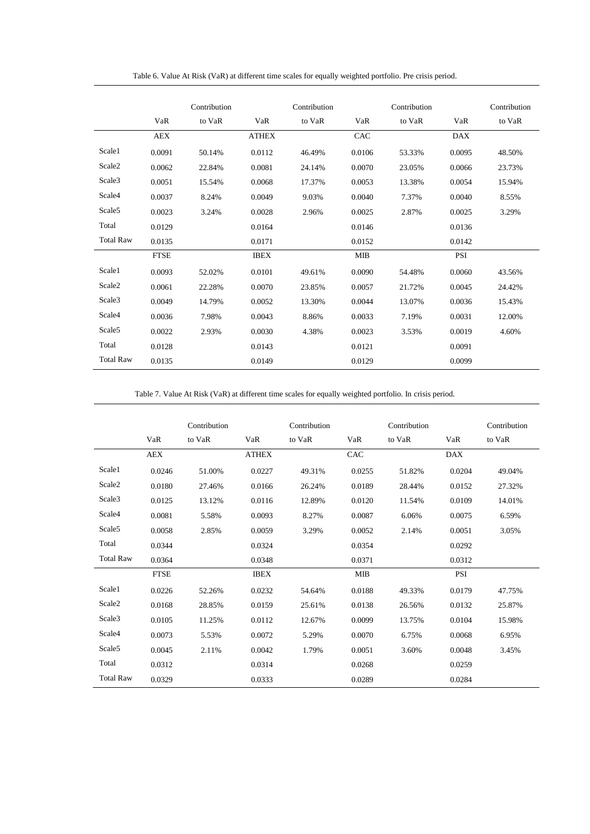<span id="page-48-1"></span>

|                    |             | Contribution |              | Contribution |            | Contribution |            | Contribution |
|--------------------|-------------|--------------|--------------|--------------|------------|--------------|------------|--------------|
|                    | VaR         | to VaR       | VaR          | to VaR       | VaR        | to VaR       | VaR        | to VaR       |
|                    | <b>AEX</b>  |              | <b>ATHEX</b> |              | CAC        |              | <b>DAX</b> |              |
| Scale1             | 0.0091      | 50.14%       | 0.0112       | 46.49%       | 0.0106     | 53.33%       | 0.0095     | 48.50%       |
| Scale2             | 0.0062      | 22.84%       | 0.0081       | 24.14%       | 0.0070     | 23.05%       | 0.0066     | 23.73%       |
| Scale3             | 0.0051      | 15.54%       | 0.0068       | 17.37%       | 0.0053     | 13.38%       | 0.0054     | 15.94%       |
| Scale4             | 0.0037      | 8.24%        | 0.0049       | 9.03%        | 0.0040     | 7.37%        | 0.0040     | 8.55%        |
| Scale5             | 0.0023      | 3.24%        | 0.0028       | 2.96%        | 0.0025     | 2.87%        | 0.0025     | 3.29%        |
| Total              | 0.0129      |              | 0.0164       |              | 0.0146     |              | 0.0136     |              |
| <b>Total Raw</b>   | 0.0135      |              | 0.0171       |              | 0.0152     |              | 0.0142     |              |
|                    | <b>FTSE</b> |              | <b>IBEX</b>  |              | <b>MIB</b> |              | PSI        |              |
| Scale1             | 0.0093      | 52.02%       | 0.0101       | 49.61%       | 0.0090     | 54.48%       | 0.0060     | 43.56%       |
| Scale <sub>2</sub> | 0.0061      | 22.28%       | 0.0070       | 23.85%       | 0.0057     | 21.72%       | 0.0045     | 24.42%       |
| Scale3             | 0.0049      | 14.79%       | 0.0052       | 13.30%       | 0.0044     | 13.07%       | 0.0036     | 15.43%       |
| Scale4             | 0.0036      | 7.98%        | 0.0043       | 8.86%        | 0.0033     | 7.19%        | 0.0031     | 12.00%       |
| Scale <sub>5</sub> | 0.0022      | 2.93%        | 0.0030       | 4.38%        | 0.0023     | 3.53%        | 0.0019     | 4.60%        |
| Total              | 0.0128      |              | 0.0143       |              | 0.0121     |              | 0.0091     |              |
| <b>Total Raw</b>   | 0.0135      |              | 0.0149       |              | 0.0129     |              | 0.0099     |              |

Table 6. Value At Risk (VaR) at different time scales for equally weighted portfolio. Pre crisis period.

Table 7. Value At Risk (VaR) at different time scales for equally weighted portfolio. In crisis period.

<span id="page-48-0"></span>

|                  | VaR         | Contribution<br>to VaR | VaR          | Contribution<br>to VaR | VaR        | Contribution<br>to VaR | VaR        | Contribution<br>to VaR |
|------------------|-------------|------------------------|--------------|------------------------|------------|------------------------|------------|------------------------|
|                  | <b>AEX</b>  |                        | <b>ATHEX</b> |                        | CAC        |                        | <b>DAX</b> |                        |
| Scale1           | 0.0246      | 51.00%                 | 0.0227       | 49.31%                 | 0.0255     | 51.82%                 | 0.0204     | 49.04%                 |
| Scale2           | 0.0180      | 27.46%                 | 0.0166       | 26.24%                 | 0.0189     | 28.44%                 | 0.0152     | 27.32%                 |
| Scale3           | 0.0125      | 13.12%                 | 0.0116       | 12.89%                 | 0.0120     | 11.54%                 | 0.0109     | 14.01%                 |
| Scale4           | 0.0081      | 5.58%                  | 0.0093       | 8.27%                  | 0.0087     | 6.06%                  | 0.0075     | 6.59%                  |
| Scale5           | 0.0058      | 2.85%                  | 0.0059       | 3.29%                  | 0.0052     | 2.14%                  | 0.0051     | 3.05%                  |
| Total            | 0.0344      |                        | 0.0324       |                        | 0.0354     |                        | 0.0292     |                        |
| <b>Total Raw</b> | 0.0364      |                        | 0.0348       |                        | 0.0371     |                        | 0.0312     |                        |
|                  | <b>FTSE</b> |                        | <b>IBEX</b>  |                        | <b>MIB</b> |                        | PSI        |                        |
| Scale1           | 0.0226      | 52.26%                 | 0.0232       | 54.64%                 | 0.0188     | 49.33%                 | 0.0179     | 47.75%                 |
| Scale2           | 0.0168      | 28.85%                 | 0.0159       | 25.61%                 | 0.0138     | 26.56%                 | 0.0132     | 25.87%                 |
| Scale3           | 0.0105      | 11.25%                 | 0.0112       | 12.67%                 | 0.0099     | 13.75%                 | 0.0104     | 15.98%                 |
| Scale4           | 0.0073      | 5.53%                  | 0.0072       | 5.29%                  | 0.0070     | 6.75%                  | 0.0068     | 6.95%                  |
| Scale5           | 0.0045      | 2.11%                  | 0.0042       | 1.79%                  | 0.0051     | 3.60%                  | 0.0048     | 3.45%                  |
| Total            | 0.0312      |                        | 0.0314       |                        | 0.0268     |                        | 0.0259     |                        |
| <b>Total Raw</b> | 0.0329      |                        | 0.0333       |                        | 0.0289     |                        | 0.0284     |                        |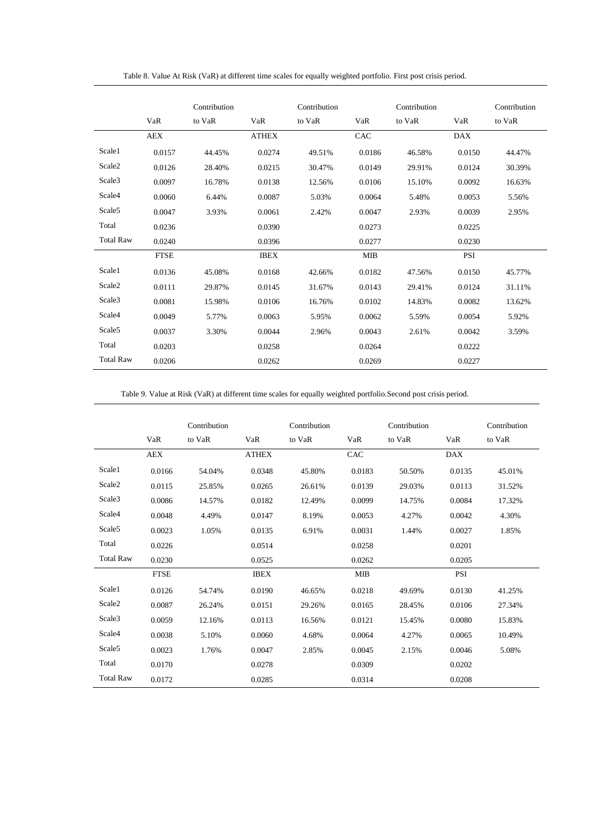<span id="page-49-0"></span>

|                    |             | Contribution |              | Contribution |            | Contribution |            | Contribution |
|--------------------|-------------|--------------|--------------|--------------|------------|--------------|------------|--------------|
|                    | VaR         | to VaR       | VaR          | to VaR       | VaR        | to VaR       | VaR        | to VaR       |
|                    | <b>AEX</b>  |              | <b>ATHEX</b> |              | CAC        |              | <b>DAX</b> |              |
| Scale1             | 0.0157      | 44.45%       | 0.0274       | 49.51%       | 0.0186     | 46.58%       | 0.0150     | 44.47%       |
| Scale2             | 0.0126      | 28.40%       | 0.0215       | 30.47%       | 0.0149     | 29.91%       | 0.0124     | 30.39%       |
| Scale3             | 0.0097      | 16.78%       | 0.0138       | 12.56%       | 0.0106     | 15.10%       | 0.0092     | 16.63%       |
| Scale4             | 0.0060      | 6.44%        | 0.0087       | 5.03%        | 0.0064     | 5.48%        | 0.0053     | 5.56%        |
| Scale <sub>5</sub> | 0.0047      | 3.93%        | 0.0061       | 2.42%        | 0.0047     | 2.93%        | 0.0039     | 2.95%        |
| Total              | 0.0236      |              | 0.0390       |              | 0.0273     |              | 0.0225     |              |
| <b>Total Raw</b>   | 0.0240      |              | 0.0396       |              | 0.0277     |              | 0.0230     |              |
|                    | <b>FTSE</b> |              | <b>IBEX</b>  |              | <b>MIB</b> |              | <b>PSI</b> |              |
| Scale1             | 0.0136      | 45.08%       | 0.0168       | 42.66%       | 0.0182     | 47.56%       | 0.0150     | 45.77%       |
| Scale <sub>2</sub> | 0.0111      | 29.87%       | 0.0145       | 31.67%       | 0.0143     | 29.41%       | 0.0124     | 31.11%       |
| Scale3             | 0.0081      | 15.98%       | 0.0106       | 16.76%       | 0.0102     | 14.83%       | 0.0082     | 13.62%       |
| Scale4             | 0.0049      | 5.77%        | 0.0063       | 5.95%        | 0.0062     | 5.59%        | 0.0054     | 5.92%        |
| Scale5             | 0.0037      | 3.30%        | 0.0044       | 2.96%        | 0.0043     | 2.61%        | 0.0042     | 3.59%        |
| Total              | 0.0203      |              | 0.0258       |              | 0.0264     |              | 0.0222     |              |
| <b>Total Raw</b>   | 0.0206      |              | 0.0262       |              | 0.0269     |              | 0.0227     |              |

Table 8. Value At Risk (VaR) at different time scales for equally weighted portfolio. First post crisis period.

Table 9. Value at Risk (VaR) at different time scales for equally weighted portfolio.Second post crisis period.

|                  | VaR         | Contribution<br>to VaR | VaR          | Contribution<br>to VaR | VaR        | Contribution<br>to VaR | VaR        | Contribution<br>to VaR |
|------------------|-------------|------------------------|--------------|------------------------|------------|------------------------|------------|------------------------|
|                  | <b>AEX</b>  |                        | <b>ATHEX</b> |                        | CAC        |                        | <b>DAX</b> |                        |
| Scale1           | 0.0166      | 54.04%                 | 0.0348       | 45.80%                 | 0.0183     | 50.50%                 | 0.0135     | 45.01%                 |
| Scale2           | 0.0115      | 25.85%                 | 0.0265       | 26.61%                 | 0.0139     | 29.03%                 | 0.0113     | 31.52%                 |
| Scale3           | 0.0086      | 14.57%                 | 0.0182       | 12.49%                 | 0.0099     | 14.75%                 | 0.0084     | 17.32%                 |
| Scale4           | 0.0048      | 4.49%                  | 0.0147       | 8.19%                  | 0.0053     | 4.27%                  | 0.0042     | 4.30%                  |
| Scale5           | 0.0023      | 1.05%                  | 0.0135       | 6.91%                  | 0.0031     | 1.44%                  | 0.0027     | 1.85%                  |
| Total            | 0.0226      |                        | 0.0514       |                        | 0.0258     |                        | 0.0201     |                        |
| <b>Total Raw</b> | 0.0230      |                        | 0.0525       |                        | 0.0262     |                        | 0.0205     |                        |
|                  | <b>FTSE</b> |                        | <b>IBEX</b>  |                        | <b>MIB</b> |                        | PSI        |                        |
| Scale1           | 0.0126      | 54.74%                 | 0.0190       | 46.65%                 | 0.0218     | 49.69%                 | 0.0130     | 41.25%                 |
| Scale2           | 0.0087      | 26.24%                 | 0.0151       | 29.26%                 | 0.0165     | 28.45%                 | 0.0106     | 27.34%                 |
| Scale3           | 0.0059      | 12.16%                 | 0.0113       | 16.56%                 | 0.0121     | 15.45%                 | 0.0080     | 15.83%                 |
| Scale4           | 0.0038      | 5.10%                  | 0.0060       | 4.68%                  | 0.0064     | 4.27%                  | 0.0065     | 10.49%                 |
| Scale5           | 0.0023      | 1.76%                  | 0.0047       | 2.85%                  | 0.0045     | 2.15%                  | 0.0046     | 5.08%                  |
| Total            | 0.0170      |                        | 0.0278       |                        | 0.0309     |                        | 0.0202     |                        |
| <b>Total Raw</b> | 0.0172      |                        | 0.0285       |                        | 0.0314     |                        | 0.0208     |                        |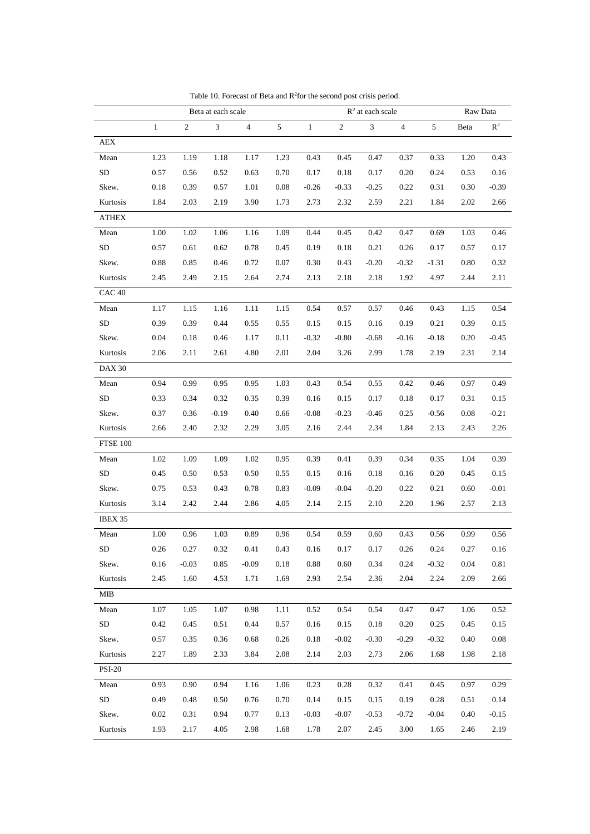<span id="page-50-1"></span><span id="page-50-0"></span>

|                 |              |                  | Beta at each scale |                |      | $R^2$ at each scale |                |         |                | Raw Data |      |                |
|-----------------|--------------|------------------|--------------------|----------------|------|---------------------|----------------|---------|----------------|----------|------|----------------|
|                 | $\mathbf{1}$ | $\boldsymbol{2}$ | 3                  | $\overline{4}$ | 5    | $\mathbf{1}$        | $\overline{2}$ | 3       | $\overline{4}$ | 5        | Beta | $\mathbb{R}^2$ |
| AEX             |              |                  |                    |                |      |                     |                |         |                |          |      |                |
| Mean            | 1.23         | 1.19             | 1.18               | 1.17           | 1.23 | 0.43                | 0.45           | 0.47    | 0.37           | 0.33     | 1.20 | 0.43           |
| SD              | 0.57         | 0.56             | 0.52               | 0.63           | 0.70 | 0.17                | 0.18           | 0.17    | 0.20           | 0.24     | 0.53 | 0.16           |
| Skew.           | 0.18         | 0.39             | 0.57               | 1.01           | 0.08 | $-0.26$             | $-0.33$        | $-0.25$ | 0.22           | 0.31     | 0.30 | $-0.39$        |
| Kurtosis        | 1.84         | 2.03             | 2.19               | 3.90           | 1.73 | 2.73                | 2.32           | 2.59    | 2.21           | 1.84     | 2.02 | 2.66           |
| ATHEX           |              |                  |                    |                |      |                     |                |         |                |          |      |                |
| Mean            | 1.00         | 1.02             | 1.06               | 1.16           | 1.09 | 0.44                | 0.45           | 0.42    | 0.47           | 0.69     | 1.03 | 0.46           |
| SD              | 0.57         | 0.61             | 0.62               | 0.78           | 0.45 | 0.19                | 0.18           | 0.21    | 0.26           | 0.17     | 0.57 | 0.17           |
| Skew.           | 0.88         | 0.85             | 0.46               | 0.72           | 0.07 | 0.30                | 0.43           | $-0.20$ | $-0.32$        | $-1.31$  | 0.80 | 0.32           |
| Kurtosis        | 2.45         | 2.49             | 2.15               | 2.64           | 2.74 | 2.13                | 2.18           | 2.18    | 1.92           | 4.97     | 2.44 | 2.11           |
| CAC 40          |              |                  |                    |                |      |                     |                |         |                |          |      |                |
| Mean            | 1.17         | 1.15             | 1.16               | 1.11           | 1.15 | 0.54                | 0.57           | 0.57    | 0.46           | 0.43     | 1.15 | 0.54           |
| SD              | 0.39         | 0.39             | 0.44               | 0.55           | 0.55 | 0.15                | 0.15           | 0.16    | 0.19           | 0.21     | 0.39 | 0.15           |
| Skew.           | 0.04         | 0.18             | 0.46               | 1.17           | 0.11 | $-0.32$             | $-0.80$        | $-0.68$ | $-0.16$        | $-0.18$  | 0.20 | $-0.45$        |
| Kurtosis        | 2.06         | 2.11             | 2.61               | 4.80           | 2.01 | 2.04                | 3.26           | 2.99    | 1.78           | 2.19     | 2.31 | 2.14           |
| <b>DAX 30</b>   |              |                  |                    |                |      |                     |                |         |                |          |      |                |
| Mean            | 0.94         | 0.99             | 0.95               | 0.95           | 1.03 | 0.43                | 0.54           | 0.55    | 0.42           | 0.46     | 0.97 | 0.49           |
| SD              | 0.33         | 0.34             | 0.32               | 0.35           | 0.39 | 0.16                | 0.15           | 0.17    | 0.18           | 0.17     | 0.31 | 0.15           |
| Skew.           | 0.37         | 0.36             | $-0.19$            | 0.40           | 0.66 | $-0.08$             | $-0.23$        | $-0.46$ | 0.25           | $-0.56$  | 0.08 | $-0.21$        |
| Kurtosis        | 2.66         | 2.40             | 2.32               | 2.29           | 3.05 | 2.16                | 2.44           | 2.34    | 1.84           | 2.13     | 2.43 | 2.26           |
| <b>FTSE 100</b> |              |                  |                    |                |      |                     |                |         |                |          |      |                |
| Mean            | 1.02         | 1.09             | 1.09               | 1.02           | 0.95 | 0.39                | 0.41           | 0.39    | 0.34           | 0.35     | 1.04 | 0.39           |
| SD              | 0.45         | 0.50             | 0.53               | 0.50           | 0.55 | 0.15                | 0.16           | 0.18    | 0.16           | 0.20     | 0.45 | 0.15           |
| Skew.           | 0.75         | 0.53             | 0.43               | 0.78           | 0.83 | $-0.09$             | $-0.04$        | $-0.20$ | 0.22           | 0.21     | 0.60 | $-0.01$        |
| Kurtosis        | 3.14         | 2.42             | 2.44               | 2.86           | 4.05 | 2.14                | 2.15           | 2.10    | 2.20           | 1.96     | 2.57 | 2.13           |
| IBEX 35         |              |                  |                    |                |      |                     |                |         |                |          |      |                |
| Mean            | 1.00         | 0.96             | 1.03               | 0.89           | 0.96 | 0.54                | 0.59           | 0.60    | 0.43           | 0.56     | 0.99 | 0.56           |
| ${\rm SD}$      | 0.26         | 0.27             | 0.32               | 0.41           | 0.43 | 0.16                | 0.17           | 0.17    | 0.26           | 0.24     | 0.27 | 0.16           |
| Skew.           | 0.16         | $-0.03$          | 0.85               | $-0.09$        | 0.18 | 0.88                | 0.60           | 0.34    | 0.24           | $-0.32$  | 0.04 | 0.81           |
| Kurtosis        | 2.45         | 1.60             | 4.53               | 1.71           | 1.69 | 2.93                | 2.54           | 2.36    | 2.04           | 2.24     | 2.09 | 2.66           |
| MIB             |              |                  |                    |                |      |                     |                |         |                |          |      |                |
| Mean            | 1.07         | 1.05             | 1.07               | 0.98           | 1.11 | 0.52                | 0.54           | 0.54    | 0.47           | 0.47     | 1.06 | 0.52           |
| SD              | 0.42         | 0.45             | 0.51               | 0.44           | 0.57 | 0.16                | 0.15           | 0.18    | 0.20           | 0.25     | 0.45 | 0.15           |
| Skew.           | 0.57         | 0.35             | 0.36               | 0.68           | 0.26 | 0.18                | $-0.02$        | $-0.30$ | $-0.29$        | $-0.32$  | 0.40 | 0.08           |
| Kurtosis        | 2.27         | 1.89             | 2.33               | 3.84           | 2.08 | 2.14                | 2.03           | 2.73    | 2.06           | 1.68     | 1.98 | 2.18           |
| <b>PSI-20</b>   |              |                  |                    |                |      |                     |                |         |                |          |      |                |
| Mean            | 0.93         | 0.90             | 0.94               | 1.16           | 1.06 | 0.23                | 0.28           | 0.32    | 0.41           | 0.45     | 0.97 | 0.29           |
| ${\rm SD}$      | 0.49         | 0.48             | 0.50               | 0.76           | 0.70 | 0.14                | 0.15           | 0.15    | 0.19           | 0.28     | 0.51 | 0.14           |
| Skew.           | 0.02         | 0.31             | 0.94               | 0.77           | 0.13 | $-0.03$             | $-0.07$        | $-0.53$ | $-0.72$        | $-0.04$  | 0.40 | $-0.15$        |
| Kurtosis        | 1.93         | 2.17             | 4.05               | 2.98           | 1.68 | 1.78                | 2.07           | 2.45    | 3.00           | 1.65     | 2.46 | 2.19           |

Table 10. Forecast of Beta and  $R^2$  for the second post crisis period.